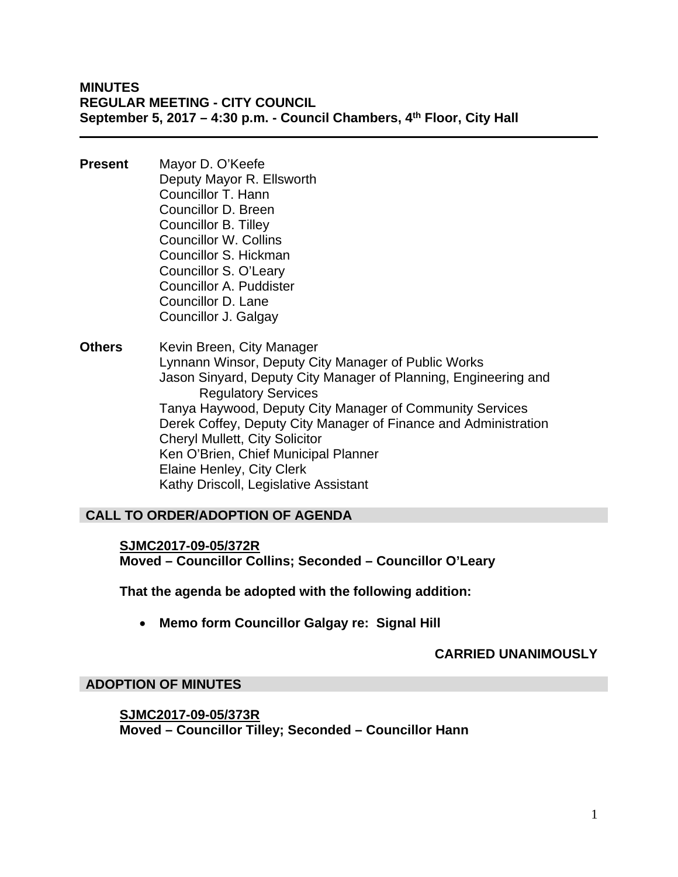**MINUTES REGULAR MEETING - CITY COUNCIL September 5, 2017 – 4:30 p.m. - Council Chambers, 4th Floor, City Hall** 

- **Present** Mayor D. O'Keefe Deputy Mayor R. Ellsworth Councillor T. Hann Councillor D. Breen Councillor B. Tilley Councillor W. Collins Councillor S. Hickman Councillor S. O'Leary Councillor A. Puddister Councillor D. Lane Councillor J. Galgay
- **Others** Kevin Breen, City Manager Lynnann Winsor, Deputy City Manager of Public Works Jason Sinyard, Deputy City Manager of Planning, Engineering and Regulatory Services Tanya Haywood, Deputy City Manager of Community Services Derek Coffey, Deputy City Manager of Finance and Administration Cheryl Mullett, City Solicitor Ken O'Brien, Chief Municipal Planner Elaine Henley, City Clerk Kathy Driscoll, Legislative Assistant

# **CALL TO ORDER/ADOPTION OF AGENDA**

# **SJMC2017-09-05/372R Moved – Councillor Collins; Seconded – Councillor O'Leary**

**That the agenda be adopted with the following addition:** 

**Memo form Councillor Galgay re: Signal Hill** 

# **CARRIED UNANIMOUSLY**

# **ADOPTION OF MINUTES**

**SJMC2017-09-05/373R Moved – Councillor Tilley; Seconded – Councillor Hann**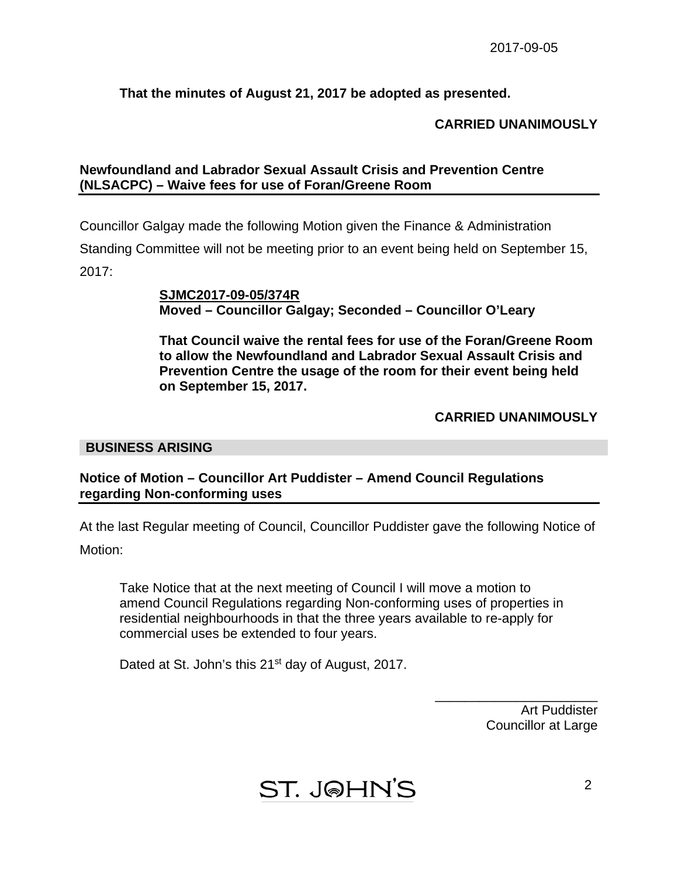# **That the minutes of August 21, 2017 be adopted as presented.**

# **CARRIED UNANIMOUSLY**

# **Newfoundland and Labrador Sexual Assault Crisis and Prevention Centre (NLSACPC) – Waive fees for use of Foran/Greene Room**

Councillor Galgay made the following Motion given the Finance & Administration Standing Committee will not be meeting prior to an event being held on September 15,

2017:

**SJMC2017-09-05/374R Moved – Councillor Galgay; Seconded – Councillor O'Leary** 

 **That Council waive the rental fees for use of the Foran/Greene Room to allow the Newfoundland and Labrador Sexual Assault Crisis and Prevention Centre the usage of the room for their event being held on September 15, 2017.** 

# **CARRIED UNANIMOUSLY**

# **BUSINESS ARISING**

# **Notice of Motion – Councillor Art Puddister – Amend Council Regulations regarding Non-conforming uses**

At the last Regular meeting of Council, Councillor Puddister gave the following Notice of Motion:

 Take Notice that at the next meeting of Council I will move a motion to amend Council Regulations regarding Non-conforming uses of properties in residential neighbourhoods in that the three years available to re-apply for commercial uses be extended to four years.

Dated at St. John's this 21<sup>st</sup> day of August, 2017.

Art Puddister Councillor at Large

\_\_\_\_\_\_\_\_\_\_\_\_\_\_\_\_\_\_\_\_\_\_

ST. J@HN'S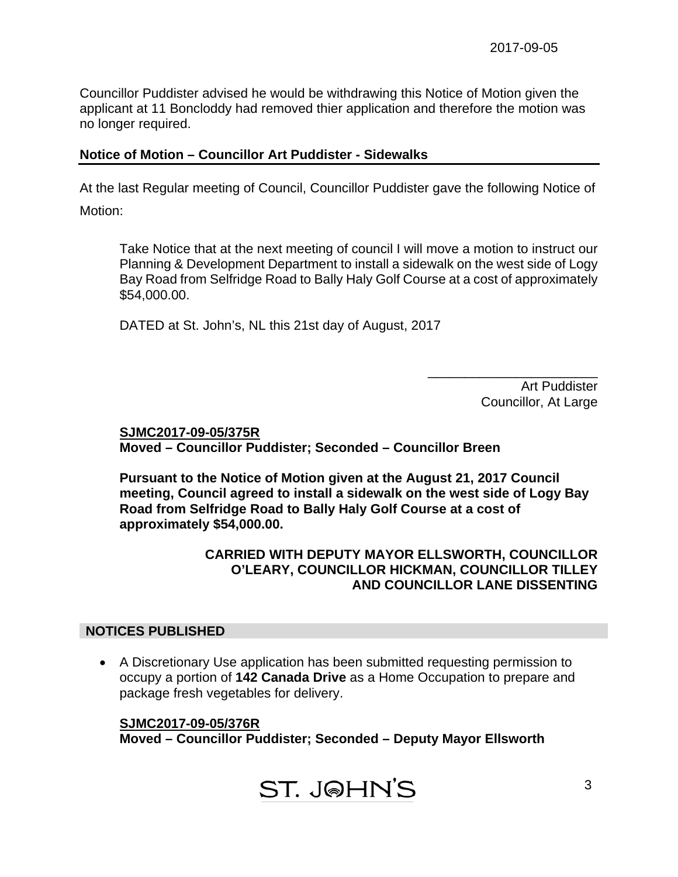Councillor Puddister advised he would be withdrawing this Notice of Motion given the applicant at 11 Boncloddy had removed thier application and therefore the motion was no longer required.

# **Notice of Motion – Councillor Art Puddister - Sidewalks**

At the last Regular meeting of Council, Councillor Puddister gave the following Notice of Motion:

 Take Notice that at the next meeting of council I will move a motion to instruct our Planning & Development Department to install a sidewalk on the west side of Logy Bay Road from Selfridge Road to Bally Haly Golf Course at a cost of approximately \$54,000.00.

DATED at St. John's, NL this 21st day of August, 2017

 Art Puddister Councillor, At Large

\_\_\_\_\_\_\_\_\_\_\_\_\_\_\_\_\_\_\_\_\_\_\_

**SJMC2017-09-05/375R Moved – Councillor Puddister; Seconded – Councillor Breen** 

 **Pursuant to the Notice of Motion given at the August 21, 2017 Council meeting, Council agreed to install a sidewalk on the west side of Logy Bay Road from Selfridge Road to Bally Haly Golf Course at a cost of approximately \$54,000.00.** 

# **CARRIED WITH DEPUTY MAYOR ELLSWORTH, COUNCILLOR O'LEARY, COUNCILLOR HICKMAN, COUNCILLOR TILLEY AND COUNCILLOR LANE DISSENTING**

# **NOTICES PUBLISHED**

 A Discretionary Use application has been submitted requesting permission to occupy a portion of **142 Canada Drive** as a Home Occupation to prepare and package fresh vegetables for delivery.

# **SJMC2017-09-05/376R**

**Moved – Councillor Puddister; Seconded – Deputy Mayor Ellsworth**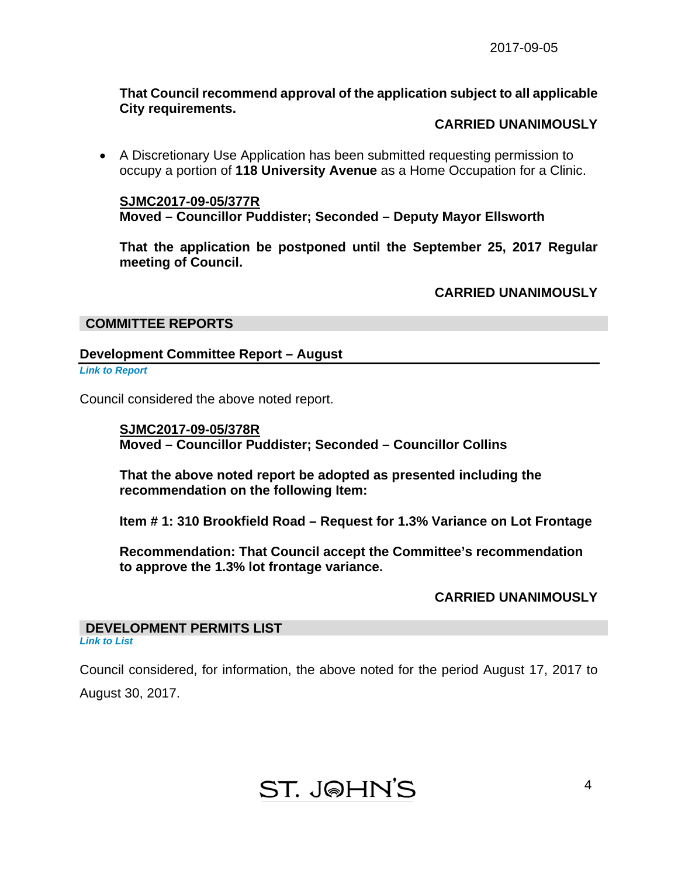# **That Council recommend approval of the application subject to all applicable City requirements.**

# **CARRIED UNANIMOUSLY**

 A Discretionary Use Application has been submitted requesting permission to occupy a portion of **118 University Avenue** as a Home Occupation for a Clinic.

**SJMC2017-09-05/377R Moved – Councillor Puddister; Seconded – Deputy Mayor Ellsworth** 

**That the application be postponed until the September 25, 2017 Regular meeting of Council.** 

**CARRIED UNANIMOUSLY** 

# **COMMITTEE REPORTS**

# **Development Committee Report – August**

*[Link to Report](#page-10-0)* 

Council considered the above noted report.

**SJMC2017-09-05/378R Moved – Councillor Puddister; Seconded – Councillor Collins** 

**That the above noted report be adopted as presented including the recommendation on the following Item:** 

**Item # 1: 310 Brookfield Road – Request for 1.3% Variance on Lot Frontage** 

**Recommendation: That Council accept the Committee's recommendation to approve the 1.3% lot frontage variance.** 

# **CARRIED UNANIMOUSLY**

#### **DEVELOPMENT PERMITS LIST**  *[Link to List](#page-13-0)*

Council considered, for information, the above noted for the period August 17, 2017 to August 30, 2017.

**ST. J@HN'S**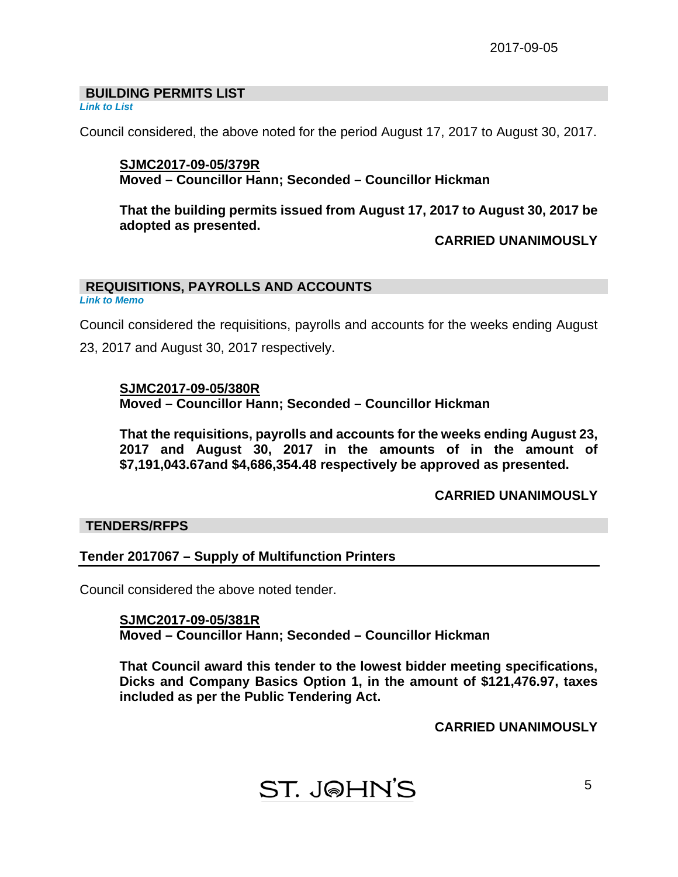# **BUILDING PERMITS LIST**

*[Link to List](#page-14-0)* 

Council considered, the above noted for the period August 17, 2017 to August 30, 2017.

# **SJMC2017-09-05/379R Moved – Councillor Hann; Seconded – Councillor Hickman**

**That the building permits issued from August 17, 2017 to August 30, 2017 be adopted as presented.** 

# **CARRIED UNANIMOUSLY**

# **REQUISITIONS, PAYROLLS AND ACCOUNTS**

*[Link to Memo](#page-18-0)* 

Council considered the requisitions, payrolls and accounts for the weeks ending August 23, 2017 and August 30, 2017 respectively.

# **SJMC2017-09-05/380R**

**Moved – Councillor Hann; Seconded – Councillor Hickman** 

**That the requisitions, payrolls and accounts for the weeks ending August 23, 2017 and August 30, 2017 in the amounts of in the amount of \$7,191,043.67and \$4,686,354.48 respectively be approved as presented.** 

# **CARRIED UNANIMOUSLY**

# **TENDERS/RFPS**

# **Tender 2017067 – Supply of Multifunction Printers**

Council considered the above noted tender.

**SJMC2017-09-05/381R Moved – Councillor Hann; Seconded – Councillor Hickman** 

**That Council award this tender to the lowest bidder meeting specifications, Dicks and Company Basics Option 1, in the amount of \$121,476.97, taxes included as per the Public Tendering Act.** 

**CARRIED UNANIMOUSLY**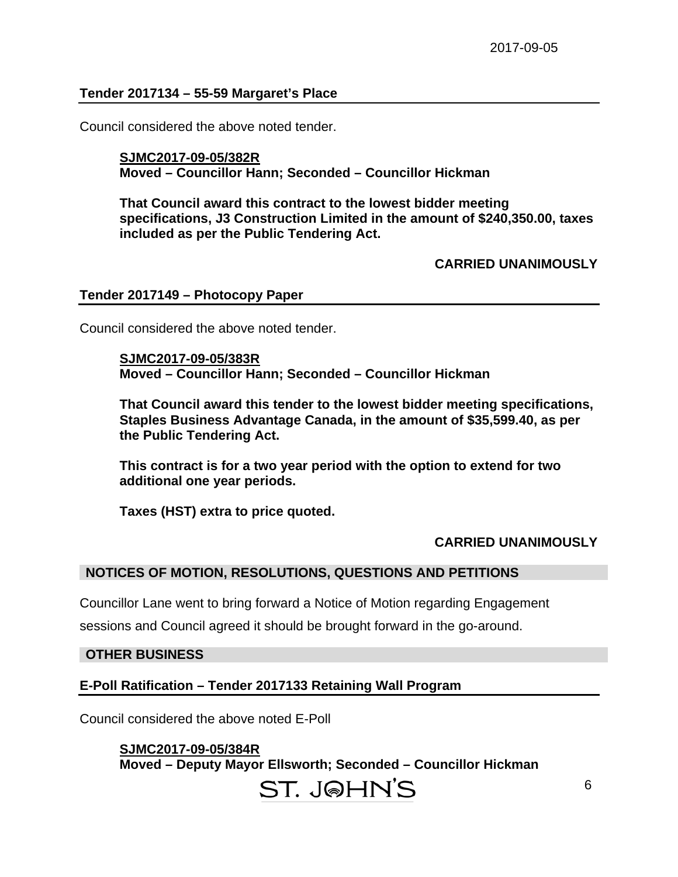# **Tender 2017134 – 55-59 Margaret's Place**

Council considered the above noted tender.

# **SJMC2017-09-05/382R Moved – Councillor Hann; Seconded – Councillor Hickman**

 **That Council award this contract to the lowest bidder meeting specifications, J3 Construction Limited in the amount of \$240,350.00, taxes included as per the Public Tendering Act.** 

**CARRIED UNANIMOUSLY** 

### **Tender 2017149 – Photocopy Paper**

Council considered the above noted tender.

**SJMC2017-09-05/383R Moved – Councillor Hann; Seconded – Councillor Hickman** 

**That Council award this tender to the lowest bidder meeting specifications, Staples Business Advantage Canada, in the amount of \$35,599.40, as per the Public Tendering Act.** 

**This contract is for a two year period with the option to extend for two additional one year periods.** 

**Taxes (HST) extra to price quoted.** 

### **CARRIED UNANIMOUSLY**

# **NOTICES OF MOTION, RESOLUTIONS, QUESTIONS AND PETITIONS**

Councillor Lane went to bring forward a Notice of Motion regarding Engagement

sessions and Council agreed it should be brought forward in the go-around.

### **OTHER BUSINESS**

# **E-Poll Ratification – Tender 2017133 Retaining Wall Program**

Council considered the above noted E-Poll

**SJMC2017-09-05/384R Moved – Deputy Mayor Ellsworth; Seconded – Councillor Hickman** 

# ST. J@HN'S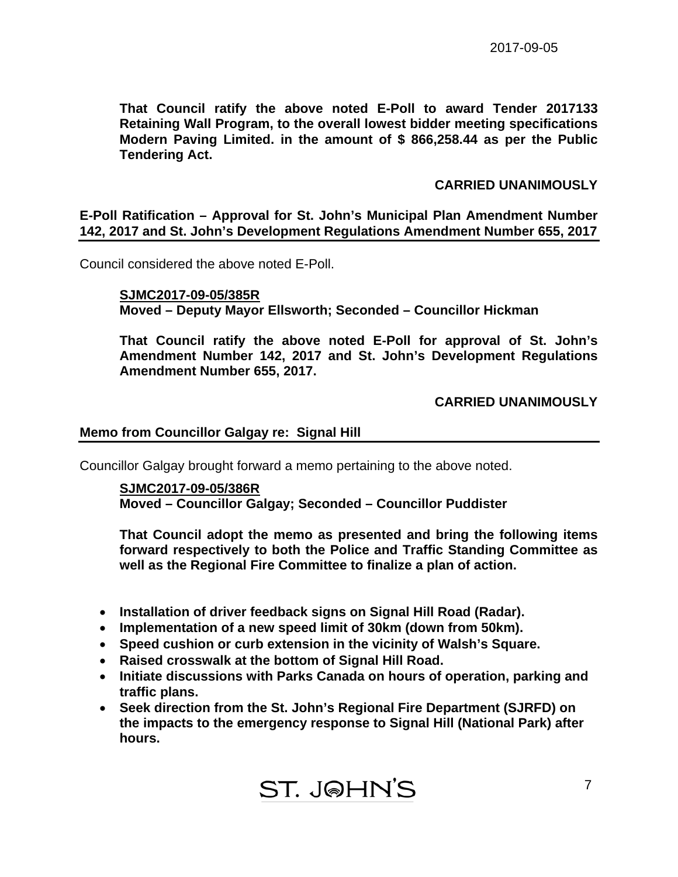**That Council ratify the above noted E-Poll to award Tender 2017133 Retaining Wall Program, to the overall lowest bidder meeting specifications Modern Paving Limited. in the amount of \$ 866,258.44 as per the Public Tendering Act.** 

# **CARRIED UNANIMOUSLY**

**E-Poll Ratification – Approval for St. John's Municipal Plan Amendment Number 142, 2017 and St. John's Development Regulations Amendment Number 655, 2017** 

Council considered the above noted E-Poll.

**SJMC2017-09-05/385R Moved – Deputy Mayor Ellsworth; Seconded – Councillor Hickman** 

**That Council ratify the above noted E-Poll for approval of St. John's Amendment Number 142, 2017 and St. John's Development Regulations Amendment Number 655, 2017.** 

# **CARRIED UNANIMOUSLY**

# **Memo from Councillor Galgay re: Signal Hill**

Councillor Galgay brought forward a memo pertaining to the above noted.

# **SJMC2017-09-05/386R Moved – Councillor Galgay; Seconded – Councillor Puddister**

**That Council adopt the memo as presented and bring the following items forward respectively to both the Police and Traffic Standing Committee as well as the Regional Fire Committee to finalize a plan of action.** 

- **Installation of driver feedback signs on Signal Hill Road (Radar).**
- **Implementation of a new speed limit of 30km (down from 50km).**
- **Speed cushion or curb extension in the vicinity of Walsh's Square.**
- **Raised crosswalk at the bottom of Signal Hill Road.**
- **Initiate discussions with Parks Canada on hours of operation, parking and traffic plans.**
- **Seek direction from the St. John's Regional Fire Department (SJRFD) on the impacts to the emergency response to Signal Hill (National Park) after hours.**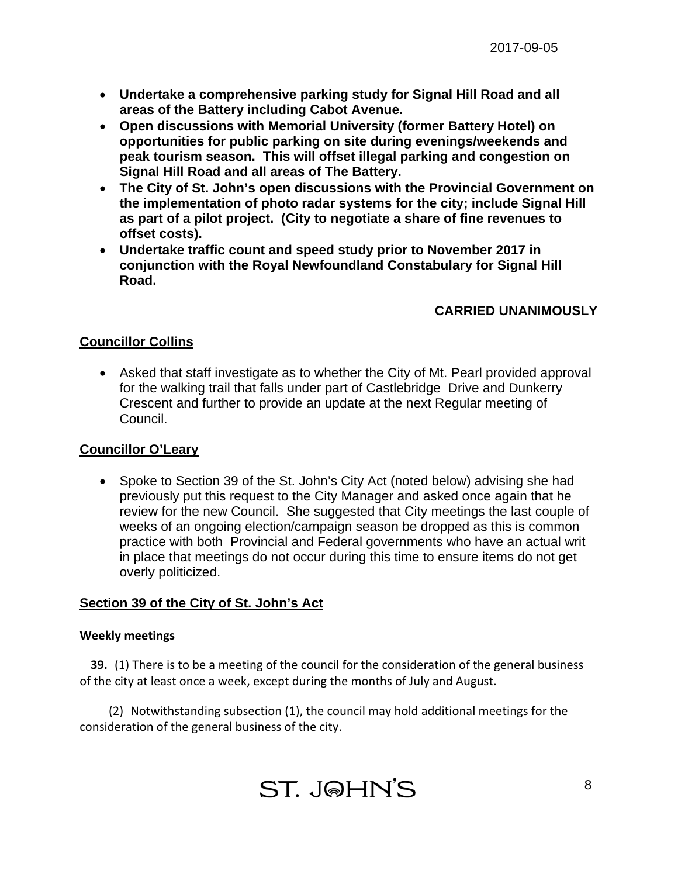- **Undertake a comprehensive parking study for Signal Hill Road and all areas of the Battery including Cabot Avenue.**
- **Open discussions with Memorial University (former Battery Hotel) on opportunities for public parking on site during evenings/weekends and peak tourism season. This will offset illegal parking and congestion on Signal Hill Road and all areas of The Battery.**
- **The City of St. John's open discussions with the Provincial Government on the implementation of photo radar systems for the city; include Signal Hill as part of a pilot project. (City to negotiate a share of fine revenues to offset costs).**
- **Undertake traffic count and speed study prior to November 2017 in conjunction with the Royal Newfoundland Constabulary for Signal Hill Road.**

# **CARRIED UNANIMOUSLY**

# **Councillor Collins**

 Asked that staff investigate as to whether the City of Mt. Pearl provided approval for the walking trail that falls under part of Castlebridge Drive and Dunkerry Crescent and further to provide an update at the next Regular meeting of Council.

# **Councillor O'Leary**

• Spoke to Section 39 of the St. John's City Act (noted below) advising she had previously put this request to the City Manager and asked once again that he review for the new Council. She suggested that City meetings the last couple of weeks of an ongoing election/campaign season be dropped as this is common practice with both Provincial and Federal governments who have an actual writ in place that meetings do not occur during this time to ensure items do not get overly politicized.

# **Section 39 of the City of St. John's Act**

# **Weekly meetings**

 **39.** (1) There is to be a meeting of the council for the consideration of the general business of the city at least once a week, except during the months of July and August.

 (2) Notwithstanding subsection (1), the council may hold additional meetings for the consideration of the general business of the city.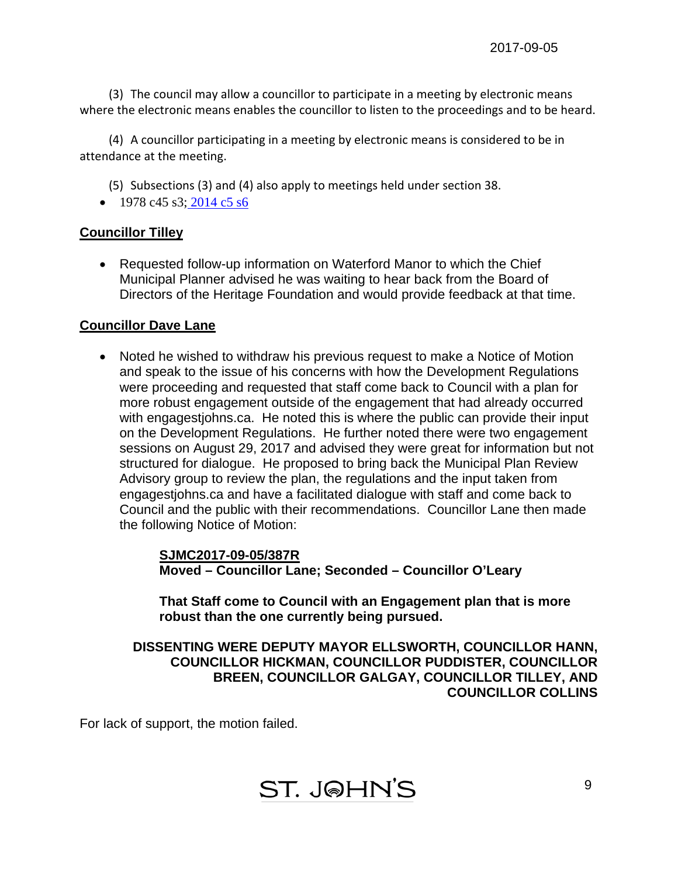(3) The council may allow a councillor to participate in a meeting by electronic means where the electronic means enables the councillor to listen to the proceedings and to be heard.

 (4) A councillor participating in a meeting by electronic means is considered to be in attendance at the meeting.

(5) Subsections (3) and (4) also apply to meetings held under section 38.

 $\bullet$  1978 c45 s3; 2014 c5 s6

# **Councillor Tilley**

 Requested follow-up information on Waterford Manor to which the Chief Municipal Planner advised he was waiting to hear back from the Board of Directors of the Heritage Foundation and would provide feedback at that time.

# **Councillor Dave Lane**

 Noted he wished to withdraw his previous request to make a Notice of Motion and speak to the issue of his concerns with how the Development Regulations were proceeding and requested that staff come back to Council with a plan for more robust engagement outside of the engagement that had already occurred with engagestjohns.ca. He noted this is where the public can provide their input on the Development Regulations. He further noted there were two engagement sessions on August 29, 2017 and advised they were great for information but not structured for dialogue. He proposed to bring back the Municipal Plan Review Advisory group to review the plan, the regulations and the input taken from engagestjohns.ca and have a facilitated dialogue with staff and come back to Council and the public with their recommendations. Councillor Lane then made the following Notice of Motion:

> **SJMC2017-09-05/387R Moved – Councillor Lane; Seconded – Councillor O'Leary**

 **That Staff come to Council with an Engagement plan that is more robust than the one currently being pursued.** 

 **DISSENTING WERE DEPUTY MAYOR ELLSWORTH, COUNCILLOR HANN, COUNCILLOR HICKMAN, COUNCILLOR PUDDISTER, COUNCILLOR BREEN, COUNCILLOR GALGAY, COUNCILLOR TILLEY, AND COUNCILLOR COLLINS** 

For lack of support, the motion failed.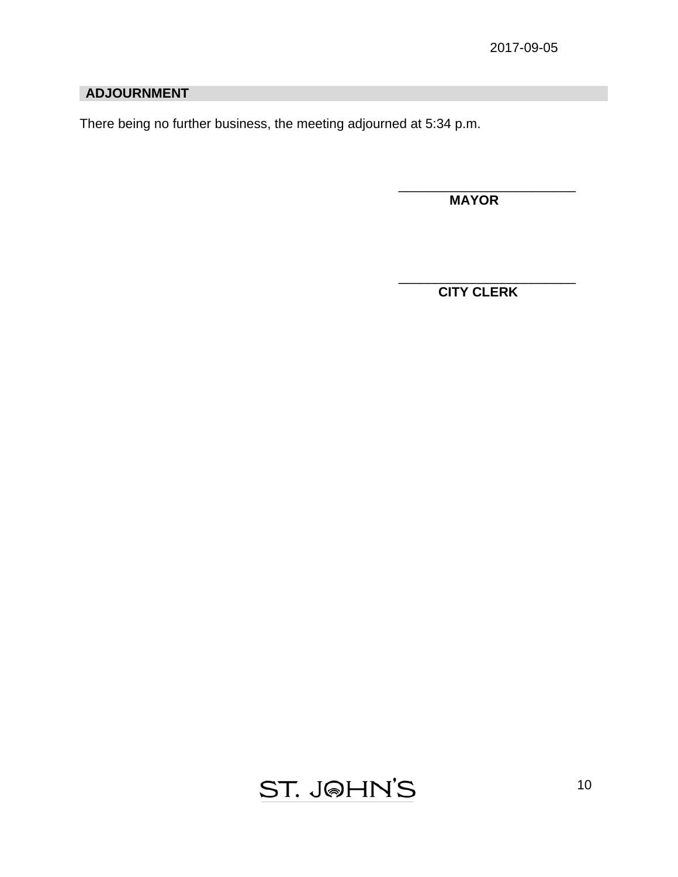# **ADJOURNMENT**

There being no further business, the meeting adjourned at 5:34 p.m.

 $\overline{\phantom{a}}$  , which is a set of the set of the set of the set of the set of the set of the set of the set of the set of the set of the set of the set of the set of the set of the set of the set of the set of the set of th

 $\overline{\phantom{a}}$  , and the contract of the contract of the contract of the contract of the contract of the contract of the contract of the contract of the contract of the contract of the contract of the contract of the contrac

 **MAYOR** 

 **CITY CLERK** 

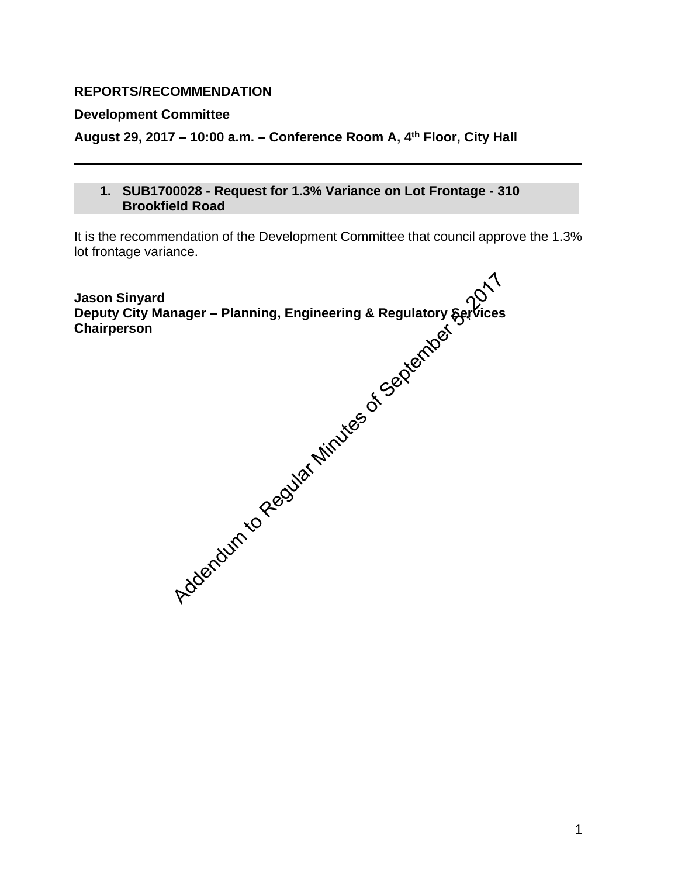# <span id="page-10-0"></span>**REPORTS/RECOMMENDATION**

# **Development Committee**

**August 29, 2017 – 10:00 a.m. – Conference Room A, 4th Floor, City Hall** 

**1. SUB1700028 - Request for 1.3% Variance on Lot Frontage - 310 Brookfield Road** 

It is the recommendation of the Development Committee that council approve the 1.3% lot frontage variance.

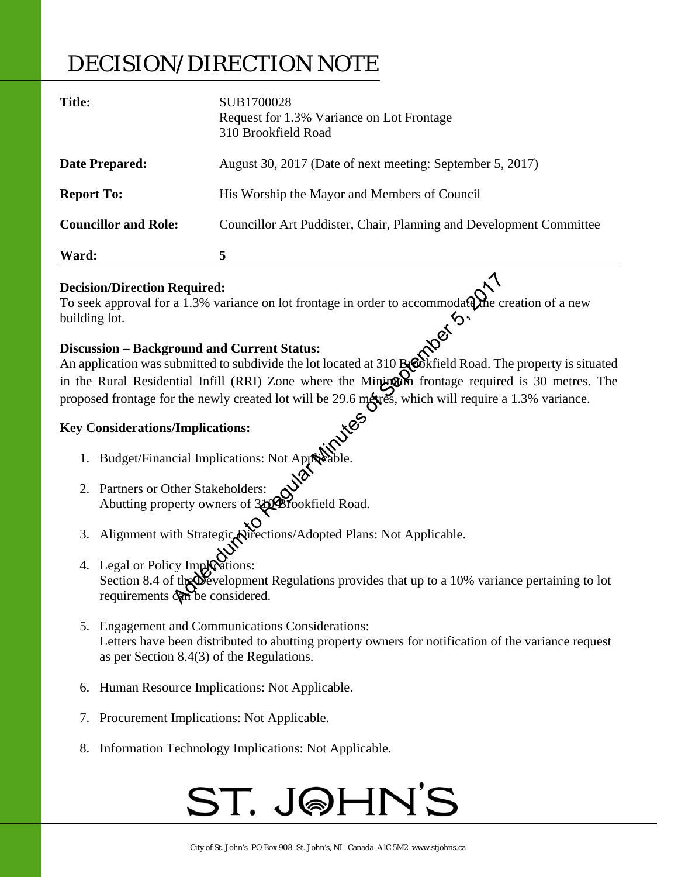# DECISION/DIRECTION NOTE

| <b>Title:</b>               | SUB1700028<br>Request for 1.3% Variance on Lot Frontage<br>310 Brookfield Road |
|-----------------------------|--------------------------------------------------------------------------------|
| <b>Date Prepared:</b>       | August 30, 2017 (Date of next meeting: September 5, 2017)                      |
| <b>Report To:</b>           | His Worship the Mayor and Members of Council                                   |
| <b>Councillor and Role:</b> | Councillor Art Puddister, Chair, Planning and Development Committee            |
| Ward:                       | 5                                                                              |

# **Decision/Direction Required:**

To seek approval for a 1.3% variance on lot frontage in order to accommodate the creation of a new building lot.

# **Discussion – Background and Current Status:**

An application was submitted to subdivide the lot located at 310 Brookfield Road. The property is situated in the Rural Residential Infill (RRI) Zone where the Minimum frontage required is 30 metres. The proposed frontage for the newly created lot will be 29.6 metres, which will require a 1.3% variance. Required:<br>
a 1.3% variance on lot frontage in order to accommodate the c<br>
cound and Current Status:<br>
abmitted to subdivide the lot located at 310 Becokfield Road. The<br>
initial Infill (RRI) Zone where the Minigal frontage r

# **Key Considerations/Implications:**

- 1. Budget/Financial Implications: Not Applicable.
- 2. Partners or Other Stakeholders: Abutting property owners of 320 Brookfield Road.
- 3. Alignment with Strategic Directions/Adopted Plans: Not Applicable.
- 4. Legal or Policy Imploations: Section 8.4 of the Development Regulations provides that up to a 10% variance pertaining to lot requirements considered.
- 5. Engagement and Communications Considerations: Letters have been distributed to abutting property owners for notification of the variance request as per Section 8.4(3) of the Regulations.
- 6. Human Resource Implications: Not Applicable.
- 7. Procurement Implications: Not Applicable.
- 8. Information Technology Implications: Not Applicable.

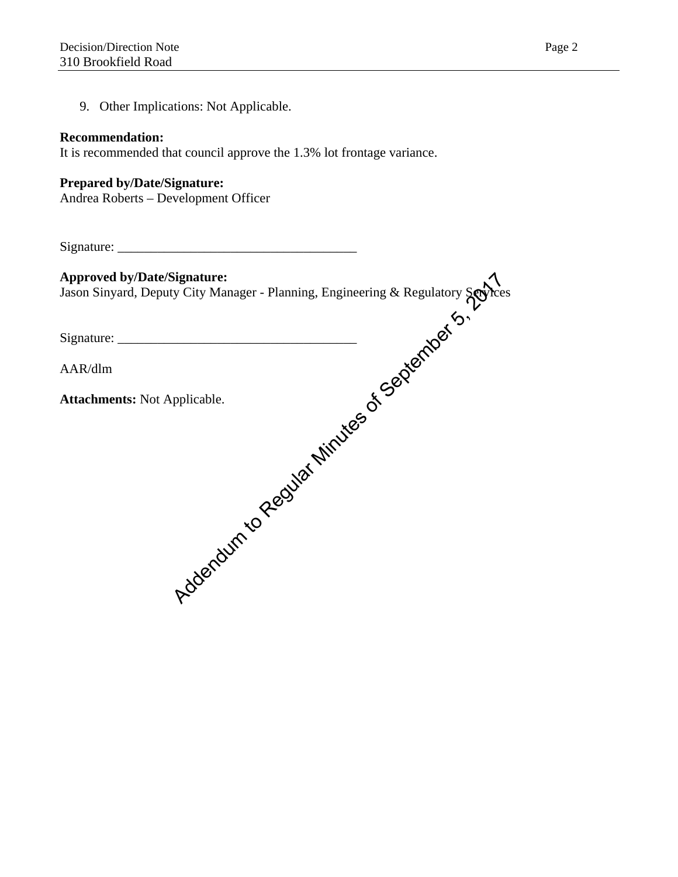9. Other Implications: Not Applicable.

# **Recommendation:**

It is recommended that council approve the 1.3% lot frontage variance.

# **Prepared by/Date/Signature:**

Andrea Roberts – Development Officer

Signature: \_\_\_\_\_\_\_\_\_\_\_\_\_\_\_\_\_\_\_\_\_\_\_\_\_\_\_\_\_\_\_\_\_\_\_\_

| <b>Approved by/Date/Signature:</b>                                                                                                                                                                                                       |
|------------------------------------------------------------------------------------------------------------------------------------------------------------------------------------------------------------------------------------------|
|                                                                                                                                                                                                                                          |
|                                                                                                                                                                                                                                          |
|                                                                                                                                                                                                                                          |
| Approved by/Date/Signature:<br>Jason Sinyard, Deputy City Manager - Planning, Engineering & Regulatory Services<br>Signature:<br>AAR/dlm<br>Attachments: Not Applicable.<br>ACKLE CONSING CONSING CONSING CONSING CONSING CONSING CONSIN |
|                                                                                                                                                                                                                                          |
|                                                                                                                                                                                                                                          |
|                                                                                                                                                                                                                                          |
|                                                                                                                                                                                                                                          |
|                                                                                                                                                                                                                                          |
|                                                                                                                                                                                                                                          |
|                                                                                                                                                                                                                                          |
|                                                                                                                                                                                                                                          |
|                                                                                                                                                                                                                                          |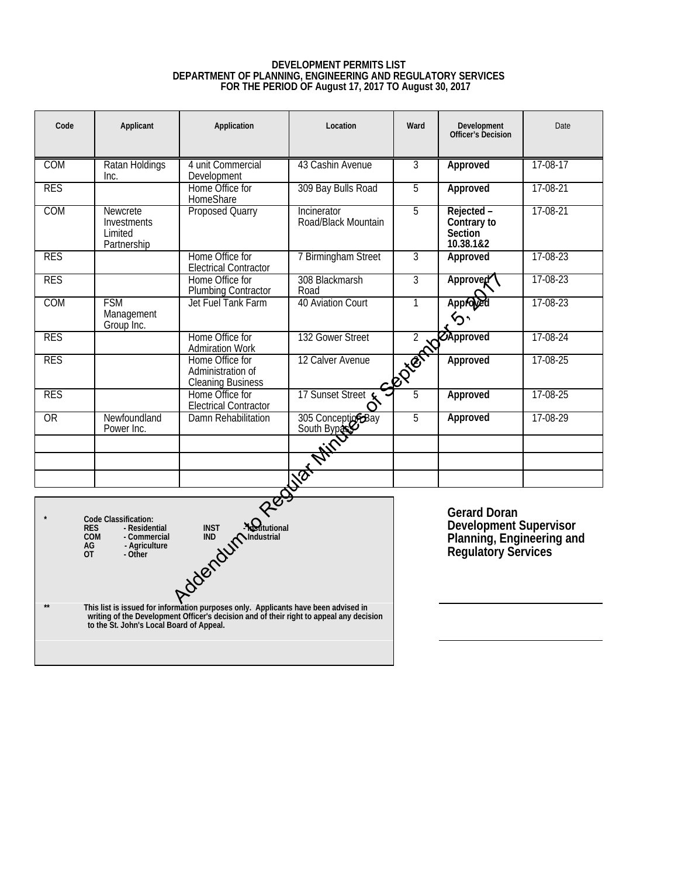# **DEVELOPMENT PERMITS LIST DEPARTMENT OF PLANNING, ENGINEERING AND REGULATORY SERVICES FOR THE PERIOD OF August 17, 2017 TO August 30, 2017**

<span id="page-13-0"></span>

| Code                          | Applicant                                                                                       | Application                                                      | Location                           | Ward           | Development<br>Officer's Decision                                                                        | Date     |
|-------------------------------|-------------------------------------------------------------------------------------------------|------------------------------------------------------------------|------------------------------------|----------------|----------------------------------------------------------------------------------------------------------|----------|
| <b>COM</b>                    | Ratan Holdings<br>Inc.                                                                          | 4 unit Commercial<br>Development                                 | 43 Cashin Avenue                   | 3              | Approved                                                                                                 | 17-08-17 |
| <b>RES</b>                    |                                                                                                 | Home Office for<br>HomeShare                                     | 309 Bay Bulls Road                 | 5              | Approved                                                                                                 | 17-08-21 |
| COM                           | Newcrete<br>Investments<br>I imited<br>Partnership                                              | <b>Proposed Quarry</b>                                           | Incinerator<br>Road/Black Mountain | 5              | Rejected -<br>Contrary to<br><b>Section</b><br>10.38.1&2                                                 | 17-08-21 |
| <b>RES</b>                    |                                                                                                 | Home Office for<br><b>Electrical Contractor</b>                  | 7 Birmingham Street                | $\overline{3}$ | Approved                                                                                                 | 17-08-23 |
| <b>RES</b>                    |                                                                                                 | Home Office for<br><b>Plumbing Contractor</b>                    | 308 Blackmarsh<br>Road             | $\overline{3}$ | Approved                                                                                                 | 17-08-23 |
| COM                           | <b>FSM</b><br>Management<br>Group Inc.                                                          | Jet Fuel Tank Farm                                               | 40 Aviation Court                  | 1              | Approve                                                                                                  | 17-08-23 |
| <b>RES</b>                    |                                                                                                 | Home Office for<br><b>Admiration Work</b>                        | 132 Gower Street                   |                |                                                                                                          | 17-08-24 |
| <b>RES</b>                    |                                                                                                 | Home Office for<br>Administration of<br><b>Cleaning Business</b> | 12 Calver Avenue                   |                | ED CApproved                                                                                             | 17-08-25 |
| <b>RES</b>                    |                                                                                                 | Home Office for<br><b>Electrical Contractor</b>                  | 17 Sunset Street                   | 5              | Approved                                                                                                 | 17-08-25 |
| OR                            | Newfoundland<br>Power Inc.                                                                      | Damn Rehabilitation                                              | 305 Conception Bay                 | 5              | Approved                                                                                                 | 17-08-29 |
|                               |                                                                                                 |                                                                  |                                    |                |                                                                                                          |          |
|                               |                                                                                                 |                                                                  |                                    |                |                                                                                                          |          |
| <b>RES</b><br>AG<br><b>OT</b> | Code Classification:<br>- Residential<br><b>COM</b><br>- Commercial<br>- Agriculture<br>- Other | - <b>Kontuitional</b><br>Addendum to Industrial                  | Report Min                         |                | <b>Gerard Doran</b><br><b>Development Supervisor</b><br>Planning, Engineering and<br>Regulatory Services |          |

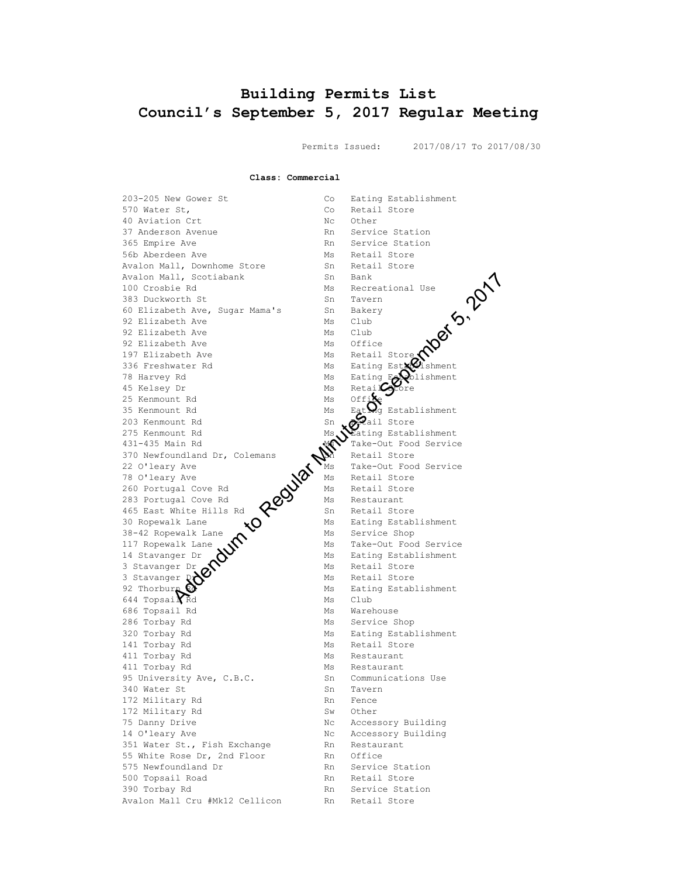# <span id="page-14-0"></span>**Building Permits List Council's September 5, 2017 Regular Meeting**

Permits Issued: 2017/08/17 To 2017/08/30

**Class: Commercial**

203-205 New Gower St Co Eating Establishment 570 Water St, Same Co Retail Store 40 Aviation Crt Nc Other 37 Anderson Avenue Rn Service Station 365 Empire Ave **Rn** Service Station 56b Aberdeen Ave Ms Retail Store<br>Avalon Mall, Downhome Store Ms Retail Store Avalon Mall, Downhome Store Avalon Mall, Scotiabank<br>100 Crosbie Rd 383 Duckworth St Sn Tavern 60 Elizabeth Ave, Sugar Mama's Sn Bakery 92 Elizabeth Ave Ms Club 92 Elizabeth Ave Ms Club 92 Elizabeth Ave Ms Office 197 Elizabeth Ave Mintendeum Mintendeutsche 336 Freshwater Rd Ms Eating Establishment 78 Harvey Rd Ms Eating Establishment 45 Kelsey Dr Ms Retail Store 25 Kenmount Rd Ms Office 35 Kenmount Rd Ms Eating Establishment 203 Kenmount Rd Sn Sn Real Store 275 Kenmount Rd Ms Nating Establishment  $431-435$  Main Rd  $\sim$  Take-Out Food Service 370 Newfoundland Dr, Colemans  $\mathbb{S}$  Retail Store 22 O'leary Ave Ms Take-Out Food Service 78 O'leary Ave  $\mathcal{N}$  Ms Retail Store 260 Portugal Cove Rd  $\mathbf{W}$  Ms Retail Store 283 Portugal Cove Rd  $\overline{Q}$  Ms Restaurant 465 East White Hills Rd  $\bullet$  Sn Retail Store 30 Ropewalk Lane  $\bullet$   $\bullet$  Ms Eating Establishment  $38-42$  Ropewalk Lane  $\lambda$  Ms Service Shop 117 Ropewalk Lane  $\mathbf{N}$  Ms Take-Out Food Service 14 Stavanger Dr  $\sum$  Ms Eating Establishment 3 Stavanger Dr  $\mathcal{S}$  Ms Retail Store 3 Stavanger Dr Ms Retail Store 92 Thorburn  $\Omega$  Ms Eating Establishment  $644$  Topsai $\widehat{K}$ d Ms Club 686 Topsail Rd Ms Ms Warehouse 286 Torbay Rd Ms Service Shop 320 Torbay Rd Ms Eating Establishment 141 Torbay Rd Ms Retail Store 411 Torbay Rd Ms Restaurant 411 Torbay Rd Ms Restaurant 95 University Ave, C.B.C. Sn Communications Use<br>340 Water St Sn Tavern 340 Water St Sn Tavern 172 Military Rd 172 Military Rd Sw Other 75 Danny Drive No. 2008 No. Accessory Building 14 O'leary Ave No Consumers and Nc Accessory Building 351 Water St., Fish Exchange Rn Restaurant 55 White Rose Dr, 2nd Floor Rn Office<br>575 Newfoundland Dr Rn Service Station 575 Newfoundland Dr Rn Service Stat<br>500 Topsail Road Rn Retail Store 500 Topsail Road Rn 390 Torbay Rd **Rn** Service Station Avalon Mall Cru #Mk12 Cellicon Rn Retail Store Address of the Regular Minutes of September 2, 2018<br>
September 1988<br>
Address of Bakery<br>
School Ave Minutes of September 2, 2019<br>
School Ave Minutes of September 2, 2019<br>
The Minutes of September 2, 2019<br>
Minutes of Septemb

<sup>19</sup><br>
<sup>19</sup><br>
<sup>190</sup> Club<br>
Ms Office<br>
Ms Retail Store<br>
Ms Eating Explishment<br>
Ms Retail Store<br>
Ms Retail Store<br>
Ms Retail Store<br>
Ms Eating Estah<br>
Sn Retail Store<br>
Ms Eating Estah<br>
Sn Retail Store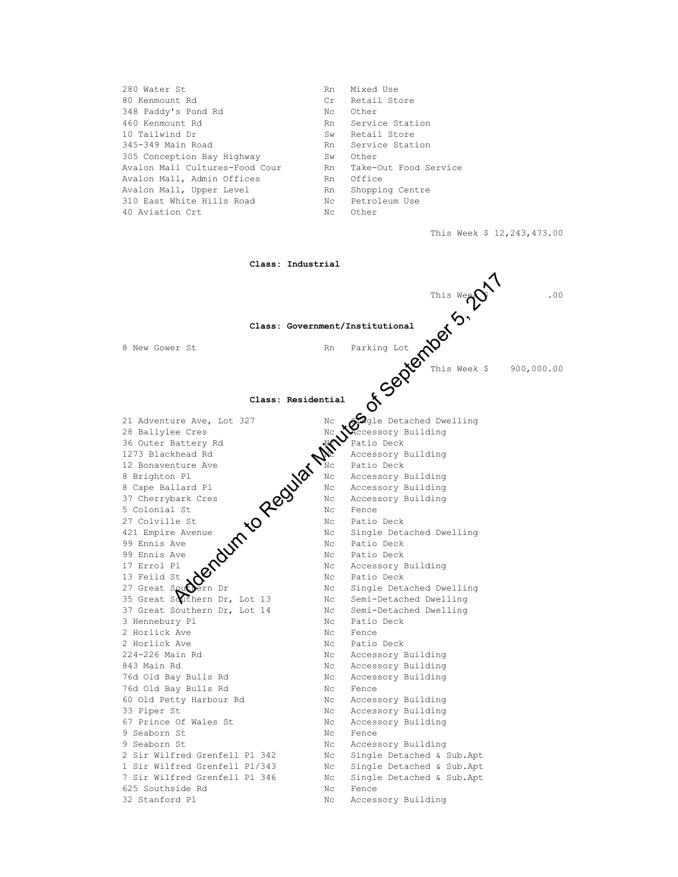| 280 Water St                   | Rn  | Mixed Use             |
|--------------------------------|-----|-----------------------|
| 80 Kenmount Rd                 | Cr  | Retail Store          |
| 348 Paddy's Pond Rd            | Nc. | Other                 |
| 460 Kenmount Rd                | Rn  | Service Station       |
| 10 Tailwind Dr                 | Sw  | Retail Store          |
| 345-349 Main Road              | Rn  | Service Station       |
| 305 Conception Bay Highway     | Sw  | Other                 |
| Avalon Mall Cultures-Food Cour | Rn  | Take-Out Food Service |
| Avalon Mall, Admin Offices     | Rn  | Office                |
| Avalon Mall, Upper Level       | Rn  | Shopping Centre       |
| 310 East White Hills Road      | Nc  | Petroleum Use         |
| 40 Aviation Crt                | Nc  | Other                 |
|                                |     |                       |

This Week \$ 12,243,473.00

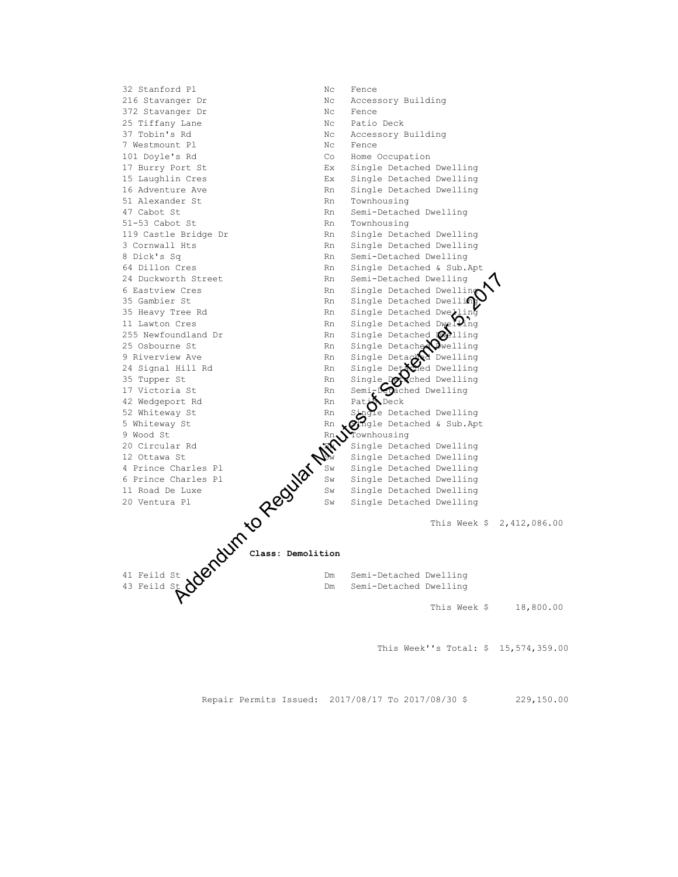

This Week''s Total: \$ 15,574,359.00

Repair Permits Issued: 2017/08/17 To 2017/08/30 \$ 229,150.00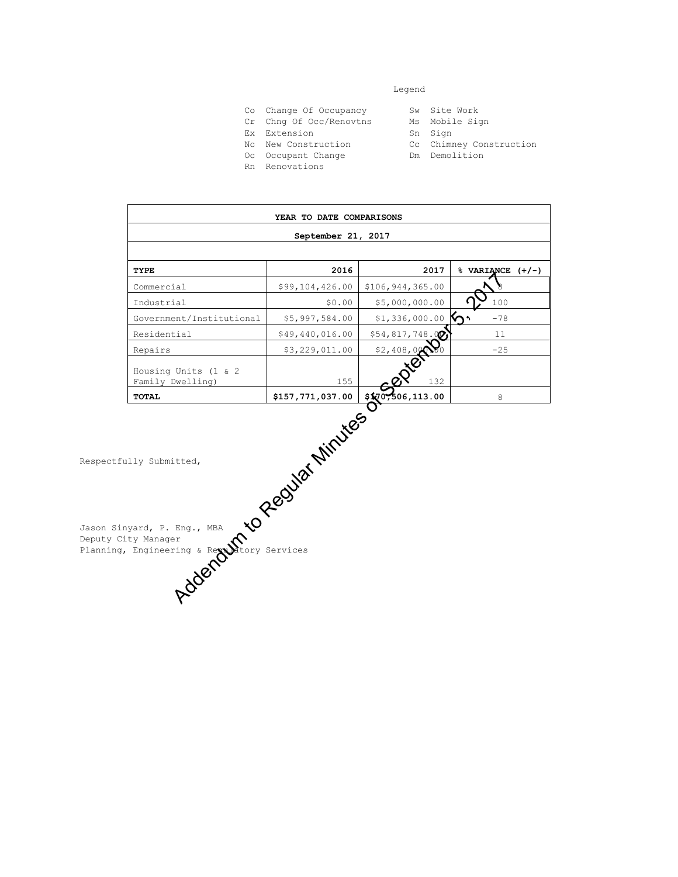#### Legend

- Co Change Of Occupancy Sw Site Work<br>Cr Chng Of Occ/Renovtns Ms Mobile Sign
- Cr Chng Of Occ/Renovtns
- Ex Extension Sn Sign
- Nc New Construction Cc Chimney Construction
- Oc Occupant Change **Dm** Demolition
- Rn Renovations
- 
- 
- 
- **YEAR TO DATE COMPARISONS September 21, 2017 TYPE 2016 2017 % VARIANCE (+/-)**  $\n *Comment Commercial §*99,104,426.00 *$106*,944,365.00 *§*  $\bullet$$ Industrial  $$0.00 \, $5,000,000.00 \, $ \, \Omega_{\text{A}}$$ Government/Institutional \$5,997,584.00 \$1,336,000.00  $\gamma$  -78 Residential \$49,440,016.00 \$54,817,748.00 11 Repairs 1.1.00 \$3,229,011.00 \$2,408,000.00 -25 Housing Units (1 & 2 Family Dwelling)  $155$   $\overline{Q}$   $132$ **TOTAL \$157,771,037.00 \$170,506,113.00** 8 Address of Address of Address of September 2020 132 Eng., MBA NOCK CONTROL CONTROL CONTROL CONTROL CONTROL CONTROL CONTROL CONTROL CONTROL CONTROL CONTROL CONTROL CONTROL CONTROL CONTROL CONTROL CONTROL CONTROL CONTROL CON

Respectfully Submitted,

Jason Sinyard, P. Eng., MBA Deputy City Manager Planning, Engineering & Regulatory Services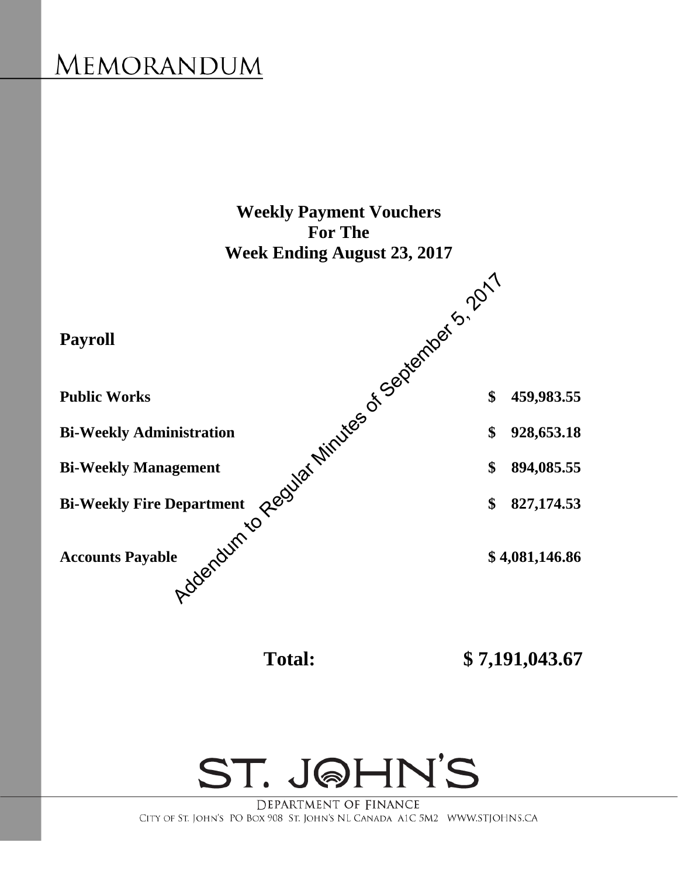# <span id="page-18-0"></span>MEMORANDUM





DEPARTMENT OF FINANCE CITY OF ST. JOHN'S PO BOX 908 ST. JOHN'S NL CANADA A1C 5M2 WWW.STJOHNS.CA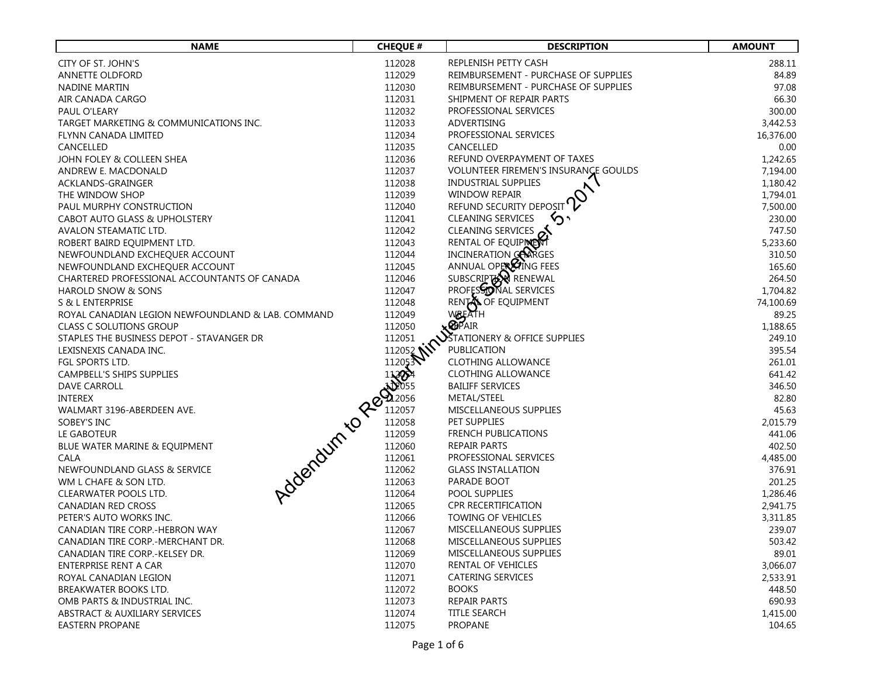| <b>NAME</b>                                                                                                                   | <b>CHEQUE #</b> | <b>DESCRIPTION</b>                   | <b>AMOUNT</b> |
|-------------------------------------------------------------------------------------------------------------------------------|-----------------|--------------------------------------|---------------|
| CITY OF ST. JOHN'S                                                                                                            | 112028          | REPLENISH PETTY CASH                 | 288.11        |
| <b>ANNETTE OLDFORD</b>                                                                                                        | 112029          | REIMBURSEMENT - PURCHASE OF SUPPLIES | 84.89         |
| NADINE MARTIN                                                                                                                 | 112030          | REIMBURSEMENT - PURCHASE OF SUPPLIES | 97.08         |
| AIR CANADA CARGO                                                                                                              | 112031          | SHIPMENT OF REPAIR PARTS             | 66.30         |
| PAUL O'LEARY                                                                                                                  | 112032          | PROFESSIONAL SERVICES                | 300.00        |
| TARGET MARKETING & COMMUNICATIONS INC.                                                                                        | 112033          | ADVERTISING                          | 3,442.53      |
| FLYNN CANADA LIMITED                                                                                                          | 112034          | PROFESSIONAL SERVICES                | 16,376.00     |
| CANCELLED                                                                                                                     | 112035          | CANCELLED                            | 0.00          |
| JOHN FOLEY & COLLEEN SHEA                                                                                                     | 112036          | REFUND OVERPAYMENT OF TAXES          | 1,242.65      |
| ANDREW E. MACDONALD                                                                                                           | 112037          | VOLUNTEER FIREMEN'S INSURANCE GOULDS | 7,194.00      |
| ACKLANDS-GRAINGER                                                                                                             | 112038          | <b>INDUSTRIAL SUPPLIES</b>           | 1,180.42      |
| THE WINDOW SHOP                                                                                                               | 112039          | <b>WINDOW REPAIR</b>                 | 1,794.01      |
| PAUL MURPHY CONSTRUCTION                                                                                                      | 112040          | REFUND SECURITY DEPOSIT              | 7,500.00      |
| CABOT AUTO GLASS & UPHOLSTERY                                                                                                 | 112041          | <b>CLEANING SERVICES</b>             | 230.00        |
| AVALON STEAMATIC LTD.                                                                                                         | 112042          | <b>CLEANING SERVICES</b>             | 747.50        |
| ROBERT BAIRD EQUIPMENT LTD.                                                                                                   | 112043          | RENTAL OF EQUIPINE                   | 5,233.60      |
| NEWFOUNDLAND EXCHEQUER ACCOUNT                                                                                                | 112044          | INCINERATION CONTGES                 | 310.50        |
| NEWFOUNDLAND EXCHEQUER ACCOUNT                                                                                                | 112045          | ANNUAL OPER FING FEES                | 165.60        |
| CHARTERED PROFESSIONAL ACCOUNTANTS OF CANADA                                                                                  | 112046          | SUBSCRIPTER RENEWAL                  | 264.50        |
| HAROLD SNOW & SONS                                                                                                            | 112047          | PROFESSONAL SERVICES                 | 1,704.82      |
| S & L ENTERPRISE                                                                                                              | 112048          | RENTA OF EQUIPMENT                   | 74,100.69     |
| ROYAL CANADIAN LEGION NEWFOUNDLAND & LAB. COMMAND                                                                             | 112049          | WBEATH                               | 89.25         |
| <b>CLASS C SOLUTIONS GROUP</b>                                                                                                | 112050          | <b>KOPAIR</b>                        | 1,188.65      |
| STAPLES THE BUSINESS DEPOT - STAVANGER DR                                                                                     | 112051          | $\sum$ Tationery & Office Supplies   | 249.10        |
| LEXISNEXIS CANADA INC.                                                                                                        | 112052 MM       | PUBLICATION                          | 395.54        |
| FGL SPORTS LTD.                                                                                                               |                 | <b>CLOTHING ALLOWANCE</b>            | 261.01        |
| CAMPBELL'S SHIPS SUPPLIES                                                                                                     |                 | <b>CLOTHING ALLOWANCE</b>            | 641.42        |
| <b>DAVE CARROLL</b>                                                                                                           |                 | <b>BAILIFF SERVICES</b>              | 346.50        |
| <b>INTEREX</b>                                                                                                                |                 | METAL/STEEL                          | 82.80         |
| WALMART 3196-ABERDEEN AVE.                                                                                                    |                 | MISCELLANEOUS SUPPLIES               | 45.63         |
| Address 11205-11205-11205-11205-11205-11205-11205-11205-11205-11205-11205-11205-11205-11205-11205-11205-11205-<br>SOBEY'S INC |                 | PET SUPPLIES                         | 2,015.79      |
| LE GABOTEUR                                                                                                                   |                 | <b>FRENCH PUBLICATIONS</b>           | 441.06        |
| BLUE WATER MARINE & EQUIPMENT                                                                                                 |                 | REPAIR PARTS                         | 402.50        |
| CALA                                                                                                                          |                 | PROFESSIONAL SERVICES                | 4,485.00      |
| NEWFOUNDLAND GLASS & SERVICE                                                                                                  |                 | <b>GLASS INSTALLATION</b>            | 376.91        |
| WM L CHAFE & SON LTD.                                                                                                         |                 | PARADE BOOT                          | 201.25        |
| CLEARWATER POOLS LTD.                                                                                                         |                 | POOL SUPPLIES                        | 1,286.46      |
| <b>CANADIAN RED CROSS</b>                                                                                                     | 112065          | <b>CPR RECERTIFICATION</b>           | 2,941.75      |
| PETER'S AUTO WORKS INC.                                                                                                       | 112066          | TOWING OF VEHICLES                   | 3,311.85      |
| CANADIAN TIRE CORP.-HEBRON WAY                                                                                                | 112067          | MISCELLANEOUS SUPPLIES               | 239.07        |
| CANADIAN TIRE CORP.-MERCHANT DR.                                                                                              | 112068          | MISCELLANEOUS SUPPLIES               | 503.42        |
| CANADIAN TIRE CORP.-KELSEY DR.                                                                                                | 112069          | MISCELLANEOUS SUPPLIES               | 89.01         |
| ENTERPRISE RENT A CAR                                                                                                         | 112070          | <b>RENTAL OF VEHICLES</b>            | 3,066.07      |
| ROYAL CANADIAN LEGION                                                                                                         | 112071          | CATERING SERVICES                    | 2,533.91      |
| BREAKWATER BOOKS LTD.                                                                                                         | 112072          | <b>BOOKS</b>                         | 448.50        |
| OMB PARTS & INDUSTRIAL INC.                                                                                                   | 112073          | <b>REPAIR PARTS</b>                  | 690.93        |
| ABSTRACT & AUXILIARY SERVICES                                                                                                 | 112074          | <b>TITLE SEARCH</b>                  | 1,415.00      |
| <b>EASTERN PROPANE</b>                                                                                                        | 112075          | <b>PROPANE</b>                       | 104.65        |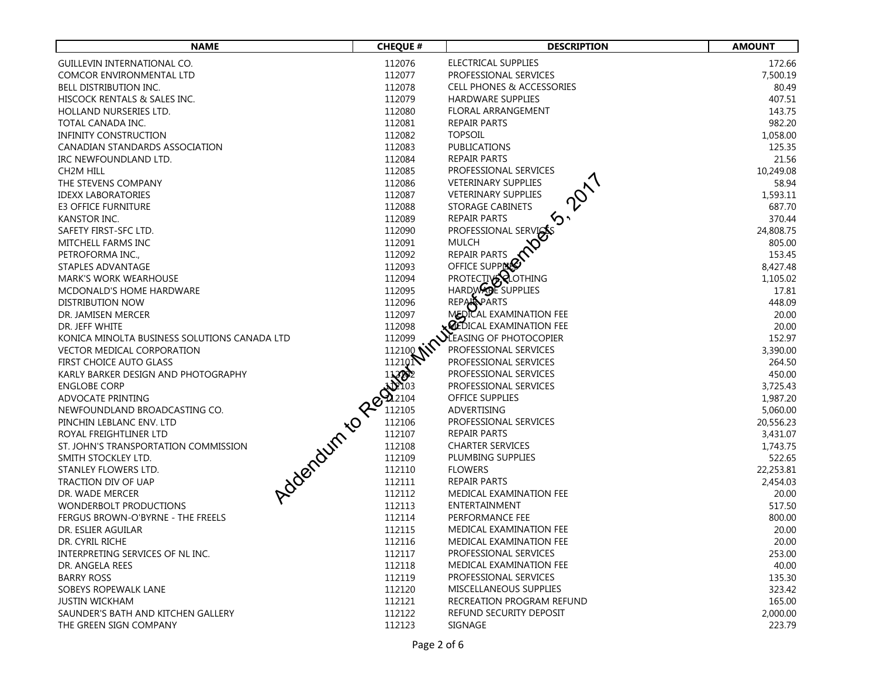| <b>NAME</b>                                  | <b>CHEQUE #</b>                                                                                                                                                                                                                          | <b>DESCRIPTION</b>                   | <b>AMOUNT</b> |
|----------------------------------------------|------------------------------------------------------------------------------------------------------------------------------------------------------------------------------------------------------------------------------------------|--------------------------------------|---------------|
| GUILLEVIN INTERNATIONAL CO.                  | 112076                                                                                                                                                                                                                                   | ELECTRICAL SUPPLIES                  | 172.66        |
| COMCOR ENVIRONMENTAL LTD                     | 112077                                                                                                                                                                                                                                   | PROFESSIONAL SERVICES                | 7,500.19      |
| BELL DISTRIBUTION INC.                       | 112078                                                                                                                                                                                                                                   | <b>CELL PHONES &amp; ACCESSORIES</b> | 80.49         |
| HISCOCK RENTALS & SALES INC.                 | 112079                                                                                                                                                                                                                                   | <b>HARDWARE SUPPLIES</b>             | 407.51        |
| HOLLAND NURSERIES LTD.                       | 112080                                                                                                                                                                                                                                   | <b>FLORAL ARRANGEMENT</b>            | 143.75        |
| TOTAL CANADA INC.                            | 112081                                                                                                                                                                                                                                   | <b>REPAIR PARTS</b>                  | 982.20        |
| <b>INFINITY CONSTRUCTION</b>                 | 112082                                                                                                                                                                                                                                   | <b>TOPSOIL</b>                       | 1,058.00      |
| CANADIAN STANDARDS ASSOCIATION               | 112083                                                                                                                                                                                                                                   | <b>PUBLICATIONS</b>                  | 125.35        |
| IRC NEWFOUNDLAND LTD.                        | 112084                                                                                                                                                                                                                                   | REPAIR PARTS                         | 21.56         |
| CH2M HILL                                    | 112085                                                                                                                                                                                                                                   | PROFESSIONAL SERVICES                | 10,249.08     |
| THE STEVENS COMPANY                          | 112086                                                                                                                                                                                                                                   | VETERINARY SUPPLIES                  | 58.94         |
| <b>IDEXX LABORATORIES</b>                    | 112087                                                                                                                                                                                                                                   | VETERINARY SUPPLIES                  | 1,593.11      |
| <b>E3 OFFICE FURNITURE</b>                   | 112088                                                                                                                                                                                                                                   | <b>STORAGE CABINETS</b>              | 687.70        |
| KANSTOR INC.                                 | 112089                                                                                                                                                                                                                                   | REPAIR PARTS                         | 370.44        |
| SAFETY FIRST-SFC LTD.                        | 112090                                                                                                                                                                                                                                   | PROFESSIONAL SERVICES                | 24,808.75     |
| MITCHELL FARMS INC                           | 112091                                                                                                                                                                                                                                   | <b>MULCH</b>                         | 805.00        |
| PETROFORMA INC.,                             | 112092                                                                                                                                                                                                                                   | <b>REPAIR PARTS</b>                  | 153.45        |
| STAPLES ADVANTAGE                            | 112093                                                                                                                                                                                                                                   | OFFICE SUPPERS                       | 8,427.48      |
| <b>MARK'S WORK WEARHOUSE</b>                 | 112094                                                                                                                                                                                                                                   | PROTECTIVE <b>ROTHING</b>            | 1,105.02      |
| MCDONALD'S HOME HARDWARE                     | 112095                                                                                                                                                                                                                                   | HARDWADE SUPPLIES                    | 17.81         |
| <b>DISTRIBUTION NOW</b>                      | 112096                                                                                                                                                                                                                                   | <b>REPARPARTS</b>                    | 448.09        |
| DR. JAMISEN MERCER                           | 112097                                                                                                                                                                                                                                   | MEDICAL EXAMINATION FEE              | 20.00         |
| DR. JEFF WHITE                               | 112098                                                                                                                                                                                                                                   | $\times$ Cedical examination fee     | 20.00         |
| KONICA MINOLTA BUSINESS SOLUTIONS CANADA LTD | 112099                                                                                                                                                                                                                                   | <b>NEASING OF PHOTOCOPIER</b>        | 152.97        |
| VECTOR MEDICAL CORPORATION                   | 112100 NV                                                                                                                                                                                                                                | PROFESSIONAL SERVICES                | 3,390.00      |
| FIRST CHOICE AUTO GLASS                      | 112101<br>112101 - 11201 - 11201 - 11202 - 11202 - 11202 - 11202 - 11202 - 11210 - 11210 - 11210 - 11210 - 11210 - 11210 - 11210 - 11210 - 11210 - 11210 - 11210 - 11210 - 11210 - 11210 - 11210 - 11210 - 11210 - 11210 - 11210 - 11210 | PROFESSIONAL SERVICES                | 264.50        |
| KARLY BARKER DESIGN AND PHOTOGRAPHY          |                                                                                                                                                                                                                                          | PROFESSIONAL SERVICES                | 450.00        |
| <b>ENGLOBE CORP</b>                          |                                                                                                                                                                                                                                          | PROFESSIONAL SERVICES                | 3,725.43      |
| ADVOCATE PRINTING                            |                                                                                                                                                                                                                                          | <b>OFFICE SUPPLIES</b>               | 1,987.20      |
| NEWFOUNDLAND BROADCASTING CO.                |                                                                                                                                                                                                                                          | ADVERTISING                          | 5,060.00      |
| PINCHIN LEBLANC ENV. LTD                     |                                                                                                                                                                                                                                          | PROFESSIONAL SERVICES                | 20,556.23     |
| ROYAL FREIGHTLINER LTD                       |                                                                                                                                                                                                                                          | <b>REPAIR PARTS</b>                  | 3,431.07      |
| ST. JOHN'S TRANSPORTATION COMMISSION         |                                                                                                                                                                                                                                          | <b>CHARTER SERVICES</b>              | 1,743.75      |
| SMITH STOCKLEY LTD.                          |                                                                                                                                                                                                                                          | PLUMBING SUPPLIES                    | 522.65        |
| STANLEY FLOWERS LTD.                         |                                                                                                                                                                                                                                          | <b>FLOWERS</b>                       | 22,253.81     |
| TRACTION DIV OF UAP                          |                                                                                                                                                                                                                                          | REPAIR PARTS                         | 2,454.03      |
| DR. WADE MERCER                              |                                                                                                                                                                                                                                          | MEDICAL EXAMINATION FEE              | 20.00         |
| <b>WONDERBOLT PRODUCTIONS</b>                | 112113                                                                                                                                                                                                                                   | ENTERTAINMENT                        | 517.50        |
| FERGUS BROWN-O'BYRNE - THE FREELS            | 112114                                                                                                                                                                                                                                   | PERFORMANCE FEE                      | 800.00        |
| DR. ESLIER AGUILAR                           | 112115                                                                                                                                                                                                                                   | MEDICAL EXAMINATION FEE              | 20.00         |
| DR. CYRIL RICHE                              | 112116                                                                                                                                                                                                                                   | MEDICAL EXAMINATION FEE              | 20.00         |
| INTERPRETING SERVICES OF NL INC.             | 112117                                                                                                                                                                                                                                   | PROFESSIONAL SERVICES                | 253.00        |
| DR. ANGELA REES                              | 112118                                                                                                                                                                                                                                   | MEDICAL EXAMINATION FEE              | 40.00         |
| <b>BARRY ROSS</b>                            | 112119                                                                                                                                                                                                                                   | PROFESSIONAL SERVICES                | 135.30        |
| SOBEYS ROPEWALK LANE                         | 112120                                                                                                                                                                                                                                   | MISCELLANEOUS SUPPLIES               | 323.42        |
| <b>JUSTIN WICKHAM</b>                        | 112121                                                                                                                                                                                                                                   | RECREATION PROGRAM REFUND            | 165.00        |
| SAUNDER'S BATH AND KITCHEN GALLERY           | 112122                                                                                                                                                                                                                                   | REFUND SECURITY DEPOSIT              | 2,000.00      |
| THE GREEN SIGN COMPANY                       | 112123                                                                                                                                                                                                                                   | SIGNAGE                              | 223.79        |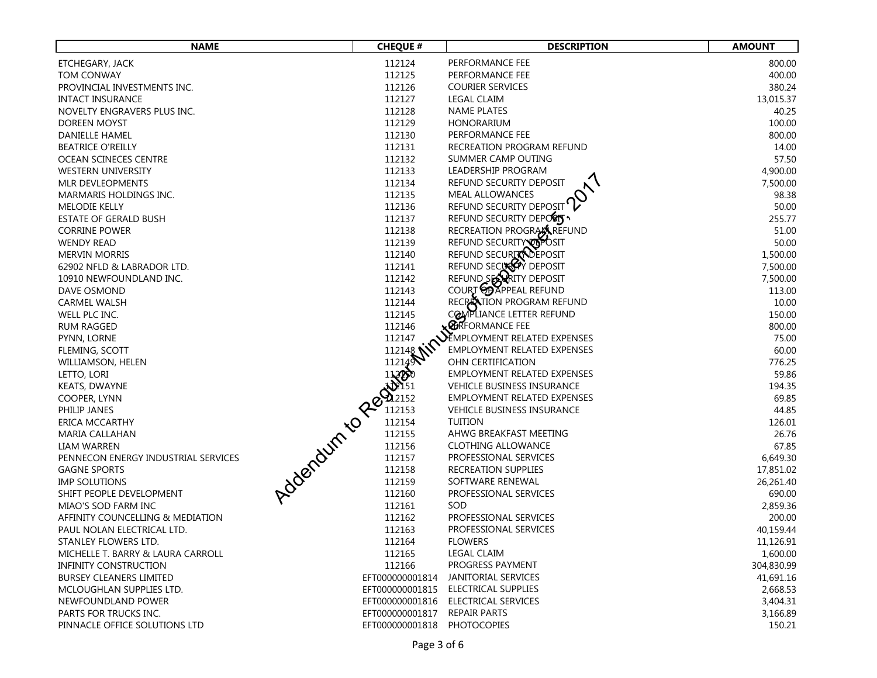| <b>NAME</b>                         | <b>CHEQUE #</b> | <b>DESCRIPTION</b>                 | <b>AMOUNT</b> |
|-------------------------------------|-----------------|------------------------------------|---------------|
| ETCHEGARY, JACK                     | 112124          | PERFORMANCE FEE                    | 800.00        |
| <b>TOM CONWAY</b>                   | 112125          | PERFORMANCE FEE                    | 400.00        |
| PROVINCIAL INVESTMENTS INC.         | 112126          | <b>COURIER SERVICES</b>            | 380.24        |
| <b>INTACT INSURANCE</b>             | 112127          | <b>LEGAL CLAIM</b>                 | 13,015.37     |
| NOVELTY ENGRAVERS PLUS INC.         | 112128          | <b>NAME PLATES</b>                 | 40.25         |
| DOREEN MOYST                        | 112129          | HONORARIUM                         | 100.00        |
| DANIELLE HAMEL                      | 112130          | PERFORMANCE FEE                    | 800.00        |
| <b>BEATRICE O'REILLY</b>            | 112131          | RECREATION PROGRAM REFUND          | 14.00         |
| OCEAN SCINECES CENTRE               | 112132          | SUMMER CAMP OUTING                 | 57.50         |
| <b>WESTERN UNIVERSITY</b>           | 112133          | LEADERSHIP PROGRAM                 | 4,900.00      |
| <b>MLR DEVLEOPMENTS</b>             | 112134          | REFUND SECURITY DEPOSIT            | 7,500.00      |
| <b>MARMARIS HOLDINGS INC.</b>       | 112135          | MEAL ALLOWANCES                    | 98.38         |
| <b>MELODIE KELLY</b>                | 112136          | REFUND SECURITY DEPOSIT'L          | 50.00         |
| ESTATE OF GERALD BUSH               | 112137          | REFUND SECURITY DEPOSITY           | 255.77        |
| <b>CORRINE POWER</b>                | 112138          |                                    | 51.00         |
| <b>WENDY READ</b>                   | 112139          | RECREATION PROGRAM REFUND          | 50.00         |
| <b>MERVIN MORRIS</b>                | 112140          | REFUND SECURITY DEPOSIT            | 1,500.00      |
| 62902 NFLD & LABRADOR LTD.          | 112141          | REFUND SECUCY DEPOSIT              | 7,500.00      |
| 10910 NEWFOUNDLAND INC.             | 112142          | REFUND SEX RITY DEPOSIT            | 7,500.00      |
| <b>DAVE OSMOND</b>                  | 112143          | COURT <b>OD</b> APPEAL REFUND      | 113.00        |
| <b>CARMEL WALSH</b>                 | 112144          | RECRECTION PROGRAM REFUND          | 10.00         |
| WELL PLC INC.                       | 112145          | COMPLIANCE LETTER REFUND           | 150.00        |
| <b>RUM RAGGED</b>                   | 112146          | <b>XCORECTER</b> FEE               | 800.00        |
| PYNN, LORNE                         | 112147          | SEMPLOYMENT RELATED EXPENSES       | 75.00         |
| FLEMING, SCOTT                      | 112148 MIR      | EMPLOYMENT RELATED EXPENSES        | 60.00         |
| WILLIAMSON, HELEN                   |                 | OHN CERTIFICATION                  | 776.25        |
| LETTO, LORI                         | 2008/07/11 2145 | <b>EMPLOYMENT RELATED EXPENSES</b> | 59.86         |
| <b>KEATS, DWAYNE</b>                |                 | <b>VEHICLE BUSINESS INSURANCE</b>  | 194.35        |
| COOPER, LYNN                        |                 | <b>EMPLOYMENT RELATED EXPENSES</b> | 69.85         |
| PHILIP JANES                        |                 | VEHICLE BUSINESS INSURANCE         | 44.85         |
| ERICA MCCARTHY                      |                 | <b>TUITION</b>                     | 126.01        |
| <b>MARIA CALLAHAN</b>               |                 | AHWG BREAKFAST MEETING             | 26.76         |
| LIAM WARREN                         |                 | <b>CLOTHING ALLOWANCE</b>          | 67.85         |
| PENNECON ENERGY INDUSTRIAL SERVICES |                 | PROFESSIONAL SERVICES              | 6,649.30      |
| <b>GAGNE SPORTS</b>                 |                 | <b>RECREATION SUPPLIES</b>         | 17,851.02     |
| IMP SOLUTIONS                       |                 | SOFTWARE RENEWAL                   | 26,261.40     |
| SHIFT PEOPLE DEVELOPMENT            |                 | PROFESSIONAL SERVICES              | 690.00        |
| MIAO'S SOD FARM INC                 | 112161          | SOD.                               | 2,859.36      |
| AFFINITY COUNCELLING & MEDIATION    | 112162          | PROFESSIONAL SERVICES              | 200.00        |
| PAUL NOLAN ELECTRICAL LTD.          | 112163          | PROFESSIONAL SERVICES              | 40,159.44     |
| STANLEY FLOWERS LTD.                | 112164          | <b>FLOWERS</b>                     | 11,126.91     |
| MICHELLE T. BARRY & LAURA CARROLL   | 112165          | <b>LEGAL CLAIM</b>                 | 1,600.00      |
| <b>INFINITY CONSTRUCTION</b>        | 112166          | PROGRESS PAYMENT                   | 304,830.99    |
| <b>BURSEY CLEANERS LIMITED</b>      | EFT000000001814 | JANITORIAL SERVICES                | 41,691.16     |
| MCLOUGHLAN SUPPLIES LTD.            | EFT000000001815 | ELECTRICAL SUPPLIES                | 2,668.53      |
| NEWFOUNDLAND POWER                  | EFT000000001816 | ELECTRICAL SERVICES                | 3,404.31      |
| PARTS FOR TRUCKS INC.               | EFT000000001817 | <b>REPAIR PARTS</b>                | 3,166.89      |
| PINNACLE OFFICE SOLUTIONS LTD       | EFT000000001818 | <b>PHOTOCOPIES</b>                 | 150.21        |
|                                     |                 |                                    |               |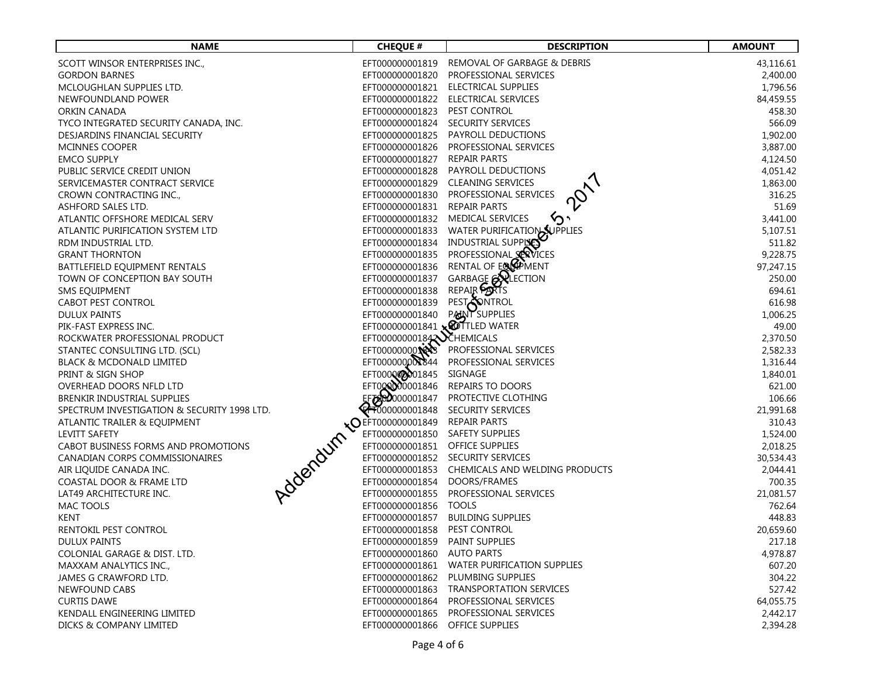| <b>NAME</b>                                 | <b>CHEQUE #</b>              | <b>DESCRIPTION</b>                             | <b>AMOUNT</b> |
|---------------------------------------------|------------------------------|------------------------------------------------|---------------|
| SCOTT WINSOR ENTERPRISES INC.,              | EFT000000001819              | REMOVAL OF GARBAGE & DEBRIS                    | 43,116.61     |
| <b>GORDON BARNES</b>                        | EFT000000001820              | PROFESSIONAL SERVICES                          | 2,400.00      |
| MCLOUGHLAN SUPPLIES LTD.                    | EFT000000001821              | ELECTRICAL SUPPLIES                            | 1,796.56      |
| NEWFOUNDLAND POWER                          | EFT000000001822              | ELECTRICAL SERVICES                            | 84,459.55     |
| ORKIN CANADA                                | EFT000000001823              | PEST CONTROL                                   | 458.30        |
| TYCO INTEGRATED SECURITY CANADA, INC.       | EFT000000001824              | SECURITY SERVICES                              | 566.09        |
| DESJARDINS FINANCIAL SECURITY               | EFT000000001825              | PAYROLL DEDUCTIONS                             | 1,902.00      |
| MCINNES COOPER                              | EFT000000001826              | PROFESSIONAL SERVICES                          | 3,887.00      |
| <b>EMCO SUPPLY</b>                          | EFT000000001827              | <b>REPAIR PARTS</b>                            | 4,124.50      |
| PUBLIC SERVICE CREDIT UNION                 | EFT000000001828              | PAYROLL DEDUCTIONS                             | 4,051.42      |
| SERVICEMASTER CONTRACT SERVICE              | EFT000000001829              | <b>CLEANING SERVICES</b>                       | 1,863.00      |
| CROWN CONTRACTING INC.,                     | EFT000000001830              | PROFESSIONAL SERVICES                          | 316.25        |
| ASHFORD SALES LTD.                          | EFT000000001831              | <b>REPAIR PARTS</b>                            | 51.69         |
| ATLANTIC OFFSHORE MEDICAL SERV              | EFT000000001832              | MEDICAL SERVICES                               | 3,441.00      |
| ATLANTIC PURIFICATION SYSTEM LTD            | EFT000000001833              |                                                | 5,107.51      |
| RDM INDUSTRIAL LTD.                         | EFT000000001834              | WATER PURIFICATION SUPPLIES                    | 511.82        |
| <b>GRANT THORNTON</b>                       | EFT000000001835              | PROFESSIONAL SERVICES                          | 9,228.75      |
| BATTLEFIELD EQUIPMENT RENTALS               | EFT000000001836              | RENTAL OF EQUIPMENT                            | 97,247.15     |
| TOWN OF CONCEPTION BAY SOUTH                | EFT000000001837              | GARBAGE <b>ANLECTION</b>                       | 250.00        |
| SMS EQUIPMENT                               | EFT000000001838              | REPAIR PORTS                                   | 694.61        |
| <b>CABOT PEST CONTROL</b>                   | EFT000000001839              |                                                | 616.98        |
| <b>DULUX PAINTS</b>                         | EFT000000001840              | PEST ONTROL                                    | 1,006.25      |
| PIK-FAST EXPRESS INC.                       | EFT000000001841 X TLED WATER |                                                | 49.00         |
| ROCKWATER PROFESSIONAL PRODUCT              | EFT000000000184 EHEMICALS    |                                                | 2,370.50      |
| STANTEC CONSULTING LTD. (SCL)               | EFT00000000                  | PROFESSIONAL SERVICES                          | 2,582.33      |
| <b>BLACK &amp; MCDONALD LIMITED</b>         | EFT000000000344              | PROFESSIONAL SERVICES                          | 1,316.44      |
| PRINT & SIGN SHOP                           | EFT000000001845              | SIGNAGE                                        | 1,840.01      |
| OVERHEAD DOORS NFLD LTD                     | EFT000000001846              | REPAIRS TO DOORS                               | 621.00        |
| BRENKIR INDUSTRIAL SUPPLIES                 | EFOD000001847                | PROTECTIVE CLOTHING                            | 106.66        |
| SPECTRUM INVESTIGATION & SECURITY 1998 LTD. | <b>CH000000001848</b>        | SECURITY SERVICES                              | 21,991.68     |
| ATLANTIC TRAILER & EQUIPMENT                | <b>NO EFT000000001849</b>    | <b>REPAIR PARTS</b>                            | 310.43        |
| <b>LEVITT SAFETY</b>                        | EFT000000001850              | <b>SAFETY SUPPLIES</b>                         | 1,524.00      |
| CABOT BUSINESS FORMS AND PROMOTIONS         | EFT000000001851              | OFFICE SUPPLIES                                | 2,018.25      |
| CANADIAN CORPS COMMISSIONAIRES              | EFT000000001852              | SECURITY SERVICES                              | 30,534.43     |
| AIR LIQUIDE CANADA INC.                     |                              | EFT000000001853 CHEMICALS AND WELDING PRODUCTS | 2,044.41      |
| Jobandum<br>COASTAL DOOR & FRAME LTD        | EFT000000001854              | DOORS/FRAMES                                   | 700.35        |
| LAT49 ARCHITECTURE INC.                     | EFT000000001855              | PROFESSIONAL SERVICES                          | 21,081.57     |
| MAC TOOLS                                   | EFT000000001856              | <b>TOOLS</b>                                   | 762.64        |
| KENT                                        | EFT000000001857              | <b>BUILDING SUPPLIES</b>                       | 448.83        |
| RENTOKIL PEST CONTROL                       | EFT000000001858              | PEST CONTROL                                   | 20,659.60     |
| DULUX PAINTS                                | EFT000000001859              | <b>PAINT SUPPLIES</b>                          | 217.18        |
| COLONIAL GARAGE & DIST. LTD.                | EFT000000001860              | <b>AUTO PARTS</b>                              | 4,978.87      |
| MAXXAM ANALYTICS INC.,                      | EFT000000001861              | WATER PURIFICATION SUPPLIES                    | 607.20        |
| JAMES G CRAWFORD LTD.                       | EFT000000001862              | PLUMBING SUPPLIES                              | 304.22        |
| NEWFOUND CABS                               | EFT000000001863              | <b>TRANSPORTATION SERVICES</b>                 | 527.42        |
| <b>CURTIS DAWE</b>                          | EFT000000001864              | PROFESSIONAL SERVICES                          | 64,055.75     |
| <b>KENDALL ENGINEERING LIMITED</b>          | EFT000000001865              | PROFESSIONAL SERVICES                          | 2,442.17      |
| DICKS & COMPANY LIMITED                     | EFT000000001866              | <b>OFFICE SUPPLIES</b>                         | 2,394.28      |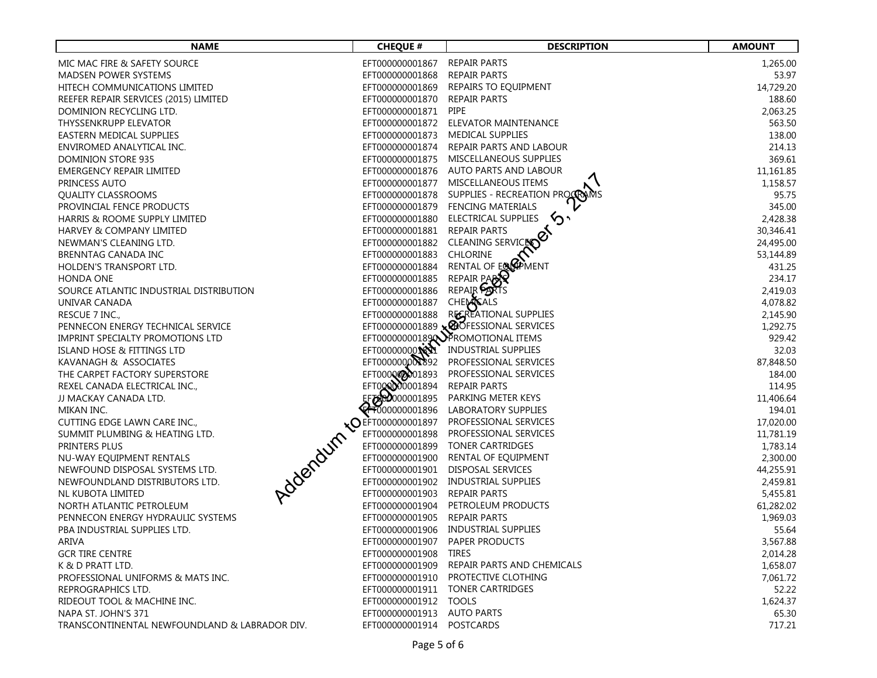| <b>NAME</b>                                        | <b>CHEQUE #</b>                               | <b>DESCRIPTION</b>                     | <b>AMOUNT</b> |
|----------------------------------------------------|-----------------------------------------------|----------------------------------------|---------------|
| MIC MAC FIRE & SAFETY SOURCE                       | EFT000000001867                               | <b>REPAIR PARTS</b>                    | 1,265.00      |
| <b>MADSEN POWER SYSTEMS</b>                        | EFT000000001868                               | <b>REPAIR PARTS</b>                    | 53.97         |
| HITECH COMMUNICATIONS LIMITED                      | EFT000000001869                               | REPAIRS TO EQUIPMENT                   | 14,729.20     |
| REEFER REPAIR SERVICES (2015) LIMITED              | EFT000000001870                               | <b>REPAIR PARTS</b>                    | 188.60        |
| DOMINION RECYCLING LTD.                            | EFT000000001871                               | PIPE                                   | 2,063.25      |
| THYSSENKRUPP ELEVATOR                              | EFT000000001872                               | ELEVATOR MAINTENANCE                   | 563.50        |
| EASTERN MEDICAL SUPPLIES                           | EFT000000001873                               | <b>MEDICAL SUPPLIES</b>                | 138.00        |
| ENVIROMED ANALYTICAL INC.                          | EFT000000001874                               | REPAIR PARTS AND LABOUR                | 214.13        |
| DOMINION STORE 935                                 | EFT000000001875                               | MISCELLANEOUS SUPPLIES                 | 369.61        |
| <b>EMERGENCY REPAIR LIMITED</b>                    |                                               | EFT000000001876 AUTO PARTS AND LABOUR  | 11,161.85     |
| PRINCESS AUTO                                      | EFT000000001877                               | MISCELLANEOUS ITEMS                    | 1,158.57      |
| <b>QUALITY CLASSROOMS</b>                          | EFT000000001878                               | SUPPLIES - RECREATION PROCRAMS         | 95.75         |
| PROVINCIAL FENCE PRODUCTS                          | EFT000000001879                               | FENCING MATERIALS                      | 345.00        |
| HARRIS & ROOME SUPPLY LIMITED                      | EFT000000001880                               | ELECTRICAL SUPPLIES                    | 2,428.38      |
| HARVEY & COMPANY LIMITED                           | EFT000000001881                               | <b>REPAIR PARTS</b>                    | 30,346.41     |
| NEWMAN'S CLEANING LTD.                             | EFT000000001882                               | CLEANING SERVICE                       | 24,495.00     |
| BRENNTAG CANADA INC                                | EFT000000001883                               | <b>CHLORINE</b>                        | 53,144.89     |
| HOLDEN'S TRANSPORT LTD.                            | EFT000000001884                               | RENTAL OF EQUIPMENT                    | 431.25        |
| HONDA ONE                                          | EFT000000001885                               | REPAIR PARTY                           | 234.17        |
| SOURCE ATLANTIC INDUSTRIAL DISTRIBUTION            | EFT000000001886                               | REPAIR PATS                            | 2,419.03      |
| UNIVAR CANADA                                      | EFT000000001887                               |                                        | 4,078.82      |
| RESCUE 7 INC.,                                     | EFT000000001888                               | CHEMISALS<br>RECREATIONAL SUPPLIES     | 2,145.90      |
| PENNECON ENERGY TECHNICAL SERVICE                  |                                               | EFT000000001889 x @OFESSIONAL SERVICES | 1,292.75      |
| IMPRINT SPECIALTY PROMOTIONS LTD                   |                                               | EFT00000000189 NPROMOTIONAL ITEMS      | 929.42        |
| <b>ISLAND HOSE &amp; FITTINGS LTD</b>              | EFT000000000                                  | <b>INDUSTRIAL SUPPLIES</b>             | 32.03         |
| KAVANAGH & ASSOCIATES                              | EFT000000000392                               | PROFESSIONAL SERVICES                  | 87,848.50     |
| THE CARPET FACTORY SUPERSTORE                      | EFT000000001893                               | PROFESSIONAL SERVICES                  | 184.00        |
| REXEL CANADA ELECTRICAL INC.,                      | EFT000000001894                               | REPAIR PARTS                           | 114.95        |
| JJ MACKAY CANADA LTD.                              | EFORD000001895                                | PARKING METER KEYS                     | 11,406.64     |
| MIKAN INC.                                         | $\bigoplus$ 000000001896                      | LABORATORY SUPPLIES                    | 194.01        |
| CUTTING EDGE LAWN CARE INC.,                       | <b>NO EFT000000001897</b>                     | PROFESSIONAL SERVICES                  | 17,020.00     |
| SUMMIT PLUMBING & HEATING LTD.                     | EFT000000001898                               | PROFESSIONAL SERVICES                  | 11,781.19     |
| PRINTERS PLUS                                      | EFT000000001899                               | <b>TONER CARTRIDGES</b>                | 1,783.14      |
| NU-WAY EQUIPMENT RENTALS                           | EFT000000001900                               | RENTAL OF EQUIPMENT                    | 2,300.00      |
| Jobenburn,<br>NEWFOUND DISPOSAL SYSTEMS LTD.       | EFT000000001901                               | DISPOSAL SERVICES                      | 44,255.91     |
| NEWFOUNDLAND DISTRIBUTORS LTD.                     | EFT000000001902                               | INDUSTRIAL SUPPLIES                    | 2,459.81      |
| NL KUBOTA LIMITED                                  | EFT000000001903                               | <b>REPAIR PARTS</b>                    | 5,455.81      |
| NORTH ATLANTIC PETROLEUM                           | EFT000000001904                               | PETROLEUM PRODUCTS                     | 61,282.02     |
| PENNECON ENERGY HYDRAULIC SYSTEMS                  | EFT000000001905                               | <b>REPAIR PARTS</b>                    | 1,969.03      |
| PBA INDUSTRIAL SUPPLIES LTD.                       | EFT000000001906                               | <b>INDUSTRIAL SUPPLIES</b>             | 55.64         |
| ARIVA                                              |                                               | EFT000000001907 PAPER PRODUCTS         | 3,567.88      |
| <b>GCR TIRE CENTRE</b>                             | EFT000000001908                               | <b>TIRES</b>                           | 2,014.28      |
| K & D PRATT LTD.                                   | EFT000000001909                               | REPAIR PARTS AND CHEMICALS             | 1,658.07      |
| PROFESSIONAL UNIFORMS & MATS INC.                  | EFT000000001910                               | PROTECTIVE CLOTHING                    | 7,061.72      |
| REPROGRAPHICS LTD.                                 |                                               | EFT000000001911 TONER CARTRIDGES       | 52.22         |
| RIDEOUT TOOL & MACHINE INC.<br>NAPA ST. JOHN'S 371 | EFT000000001912<br>EFT000000001913 AUTO PARTS | <b>TOOLS</b>                           | 1,624.37      |
|                                                    |                                               |                                        | 65.30         |
| TRANSCONTINENTAL NEWFOUNDLAND & LABRADOR DIV.      | EFT000000001914 POSTCARDS                     |                                        | 717.21        |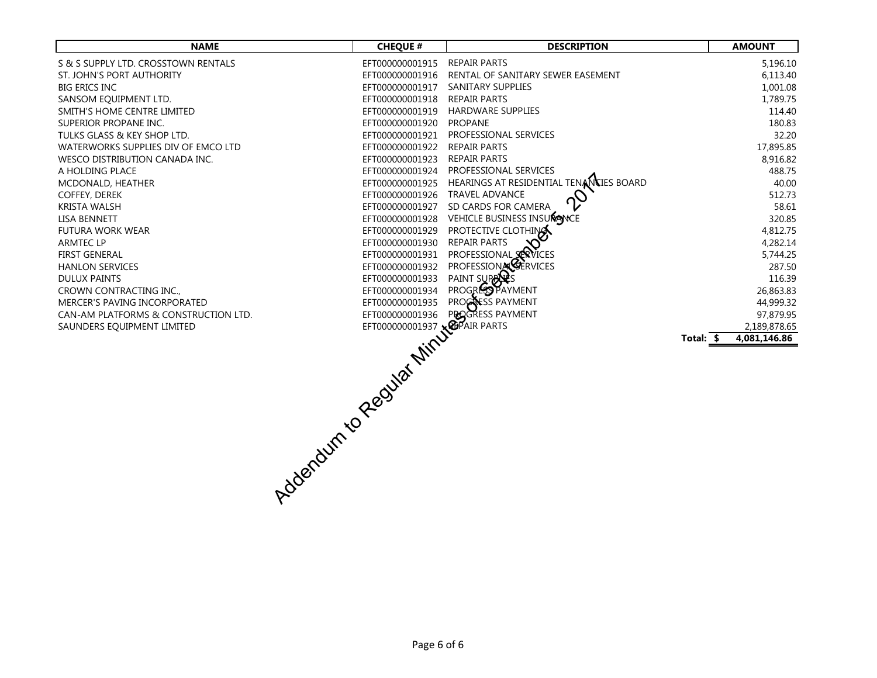| <b>NAME</b>                          | <b>CHEQUE #</b>              | <b>DESCRIPTION</b>                                 | <b>AMOUNT</b>             |
|--------------------------------------|------------------------------|----------------------------------------------------|---------------------------|
| S & S SUPPLY LTD. CROSSTOWN RENTALS  | EFT000000001915 REPAIR PARTS |                                                    | 5,196.10                  |
| ST. JOHN'S PORT AUTHORITY            |                              | EFT0000000001916 RENTAL OF SANITARY SEWER EASEMENT | 6,113.40                  |
| <b>BIG ERICS INC</b>                 | EFT000000001917              | <b>SANITARY SUPPLIES</b>                           | 1,001.08                  |
| SANSOM EQUIPMENT LTD.                | EFT000000001918              | <b>REPAIR PARTS</b>                                | 1,789.75                  |
| SMITH'S HOME CENTRE LIMITED          | EFT000000001919              | <b>HARDWARE SUPPLIES</b>                           | 114.40                    |
| SUPERIOR PROPANE INC.                | EFT000000001920              | <b>PROPANE</b>                                     | 180.83                    |
| TULKS GLASS & KEY SHOP LTD.          | EFT000000001921              | PROFESSIONAL SERVICES                              | 32.20                     |
| WATERWORKS SUPPLIES DIV OF EMCO LTD  | EFT000000001922              | <b>REPAIR PARTS</b>                                | 17,895.85                 |
| WESCO DISTRIBUTION CANADA INC.       | EFT000000001923              | <b>REPAIR PARTS</b>                                | 8,916.82                  |
| A HOLDING PLACE                      | EFT000000001924              | PROFESSIONAL SERVICES                              | 488.75                    |
| MCDONALD, HEATHER                    | EFT000000001925              | HEARINGS AT RESIDENTIAL TENANCIES BOARD            | 40.00                     |
| <b>COFFEY, DEREK</b>                 | EFT000000001926              | <b>TRAVEL ADVANCE</b>                              | 512.73                    |
| <b>KRISTA WALSH</b>                  | EFT000000001927              | SD CARDS FOR CAMERA                                | 58.61                     |
| <b>LISA BENNETT</b>                  |                              | EFT000000001928 VEHICLE BUSINESS INSURGNCE         | 320.85                    |
| <b>FUTURA WORK WEAR</b>              | EFT000000001929              | PROTECTIVE CLOTHING                                | 4,812.75                  |
| <b>ARMTEC LP</b>                     | EFT000000001930              | <b>REPAIR PARTS</b>                                | 4,282.14                  |
| <b>FIRST GENERAL</b>                 | EFT000000001931              | PROFESSIONAL SERVICES                              | 5,744.25                  |
| <b>HANLON SERVICES</b>               | EFT000000001932              | PROFESSIONAL CERVICES                              | 287.50                    |
| <b>DULUX PAINTS</b>                  |                              | PAINT SUPARS                                       | 116.39                    |
| CROWN CONTRACTING INC.,              |                              | PROGRESS PAYMENT                                   | 26,863.83                 |
| MERCER'S PAVING INCORPORATED         |                              | PROGRESS PAYMENT                                   | 44,999.32                 |
| CAN-AM PLATFORMS & CONSTRUCTION LTD. |                              | PROGRESS PAYMENT                                   | 97,879.95                 |
| SAUNDERS EQUIPMENT LIMITED           |                              |                                                    | 2,189,878.65              |
|                                      |                              |                                                    | Total: \$<br>4,081,146.86 |
|                                      |                              |                                                    |                           |
|                                      |                              |                                                    |                           |
|                                      |                              |                                                    |                           |
|                                      |                              |                                                    |                           |
|                                      |                              |                                                    |                           |
|                                      |                              |                                                    |                           |
|                                      |                              |                                                    |                           |
|                                      |                              |                                                    |                           |
|                                      |                              |                                                    |                           |
|                                      |                              |                                                    |                           |
|                                      |                              |                                                    |                           |
|                                      |                              |                                                    |                           |
| VOCABAL RECORD MARY                  |                              |                                                    |                           |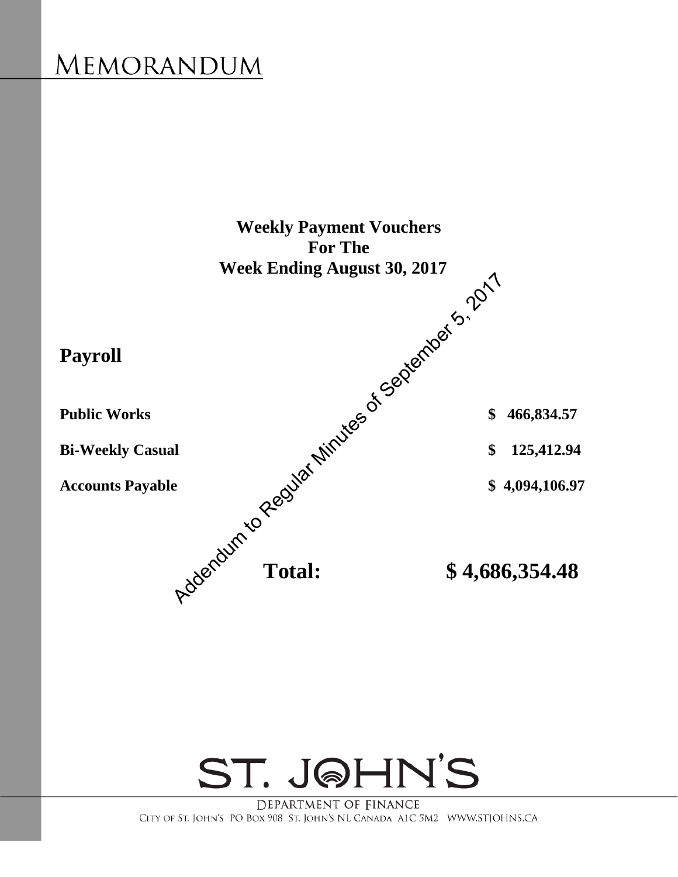

ST. JOHN'S

DEPARTMENT OF FINANCE CITY OF ST. JOHN'S PO BOX 908 ST. JOHN'S NL CANADA A1C 5M2 WWW.STJOHNS.CA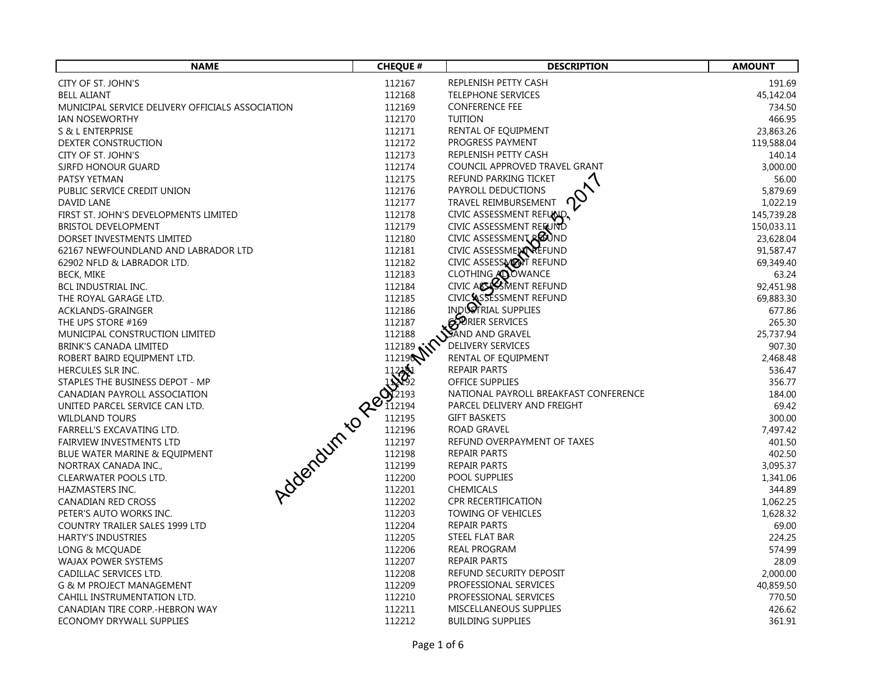| <b>NAME</b>                                          | <b>CHEQUE #</b>  | <b>DESCRIPTION</b>                                  | <b>AMOUNT</b>       |
|------------------------------------------------------|------------------|-----------------------------------------------------|---------------------|
| CITY OF ST. JOHN'S                                   | 112167           | REPLENISH PETTY CASH                                | 191.69              |
| <b>BELL ALIANT</b>                                   | 112168           | <b>TELEPHONE SERVICES</b>                           | 45,142.04           |
| MUNICIPAL SERVICE DELIVERY OFFICIALS ASSOCIATION     | 112169           | <b>CONFERENCE FEE</b>                               | 734.50              |
| IAN NOSEWORTHY                                       | 112170           | <b>TUITION</b>                                      | 466.95              |
| S & L ENTERPRISE                                     | 112171           | RENTAL OF EQUIPMENT                                 | 23,863.26           |
| DEXTER CONSTRUCTION                                  | 112172           | PROGRESS PAYMENT                                    | 119,588.04          |
| CITY OF ST. JOHN'S                                   | 112173           | REPLENISH PETTY CASH                                | 140.14              |
| SJRFD HONOUR GUARD                                   | 112174           | COUNCIL APPROVED TRAVEL GRANT                       | 3,000.00            |
| PATSY YETMAN                                         | 112175           | REFUND PARKING TICKET                               | 56.00               |
| PUBLIC SERVICE CREDIT UNION                          | 112176           | PAYROLL DEDUCTIONS                                  | 5,879.69            |
| DAVID LANE                                           | 112177           | TRAVEL REIMBURSEMENT                                | 1,022.19            |
| FIRST ST. JOHN'S DEVELOPMENTS LIMITED                | 112178           | CIVIC ASSESSMENT REFUND.                            | 145,739.28          |
| <b>BRISTOL DEVELOPMENT</b>                           | 112179           | CIVIC ASSESSMENT REFUND                             | 150,033.11          |
| DORSET INVESTMENTS LIMITED                           | 112180           | CIVIC ASSESSMENT REUND                              | 23,628.04           |
| 62167 NEWFOUNDLAND AND LABRADOR LTD                  | 112181           | CIVIC ASSESSMENT REFUND                             | 91,587.47           |
| 62902 NFLD & LABRADOR LTD.                           | 112182           | CIVIC ASSESSMENT REFUND                             | 69,349.40           |
| BECK, MIKE                                           | 112183           | CLOTHING <b>ADOWANCE</b><br>CIVIC ACCESSMENT REFUND | 63.24               |
| BCL INDUSTRIAL INC.                                  | 112184           |                                                     | 92,451.98           |
| THE ROYAL GARAGE LTD.                                | 112185           | CIVIC SSESSMENT REFUND<br>INDUSTRIAL SUPPLIES       | 69,883.30           |
| ACKLANDS-GRAINGER                                    | 112186<br>112187 | BORIER SERVICES                                     | 677.86              |
| THE UPS STORE #169<br>MUNICIPAL CONSTRUCTION LIMITED | 112188           | SAND AND GRAVEL                                     | 265.30<br>25,737.94 |
| <b>BRINK'S CANADA LIMITED</b>                        |                  | <b>DELIVERY SERVICES</b>                            | 907.30              |
| ROBERT BAIRD EQUIPMENT LTD.                          | 112198 MM        | RENTAL OF EQUIPMENT                                 | 2,468.48            |
| HERCULES SLR INC.                                    |                  | <b>REPAIR PARTS</b>                                 | 536.47              |
| STAPLES THE BUSINESS DEPOT - MP                      |                  | OFFICE SUPPLIES                                     | 356.77              |
| CANADIAN PAYROLL ASSOCIATION                         |                  | NATIONAL PAYROLL BREAKFAST CONFERENCE               | 184.00              |
| UNITED PARCEL SERVICE CAN LTD.                       |                  | PARCEL DELIVERY AND FREIGHT                         | 69.42               |
| <b>WILDLAND TOURS</b>                                |                  | <b>GIFT BASKETS</b>                                 | 300.00              |
| FARRELL'S EXCAVATING LTD.                            |                  | <b>ROAD GRAVEL</b>                                  | 7,497.42            |
| <b>FAIRVIEW INVESTMENTS LTD</b>                      |                  | REFUND OVERPAYMENT OF TAXES                         | 401.50              |
| BLUE WATER MARINE & EQUIPMENT                        |                  | <b>REPAIR PARTS</b>                                 | 402.50              |
| NORTRAX CANADA INC.,                                 |                  | <b>REPAIR PARTS</b>                                 | 3,095.37            |
| CLEARWATER POOLS LTD.                                |                  | POOL SUPPLIES                                       | 1,341.06            |
| HAZMASTERS INC.                                      |                  | <b>CHEMICALS</b>                                    | 344.89              |
| CANADIAN RED CROSS                                   |                  | <b>CPR RECERTIFICATION</b>                          | 1,062.25            |
| PETER'S AUTO WORKS INC.                              | 112203           | TOWING OF VEHICLES                                  | 1,628.32            |
| COUNTRY TRAILER SALES 1999 LTD                       | 112204           | <b>REPAIR PARTS</b>                                 | 69.00               |
| <b>HARTY'S INDUSTRIES</b>                            | 112205           | STEEL FLAT BAR                                      | 224.25              |
| LONG & MCQUADE                                       | 112206           | REAL PROGRAM                                        | 574.99              |
| WAJAX POWER SYSTEMS                                  | 112207           | REPAIR PARTS                                        | 28.09               |
| CADILLAC SERVICES LTD.                               | 112208           | REFUND SECURITY DEPOSIT                             | 2,000.00            |
| <b>G &amp; M PROJECT MANAGEMENT</b>                  | 112209           | PROFESSIONAL SERVICES                               | 40,859.50           |
| CAHILL INSTRUMENTATION LTD.                          | 112210           | PROFESSIONAL SERVICES                               | 770.50              |
| CANADIAN TIRE CORP.-HEBRON WAY                       | 112211           | MISCELLANEOUS SUPPLIES                              | 426.62              |
| ECONOMY DRYWALL SUPPLIES                             | 112212           | <b>BUILDING SUPPLIES</b>                            | 361.91              |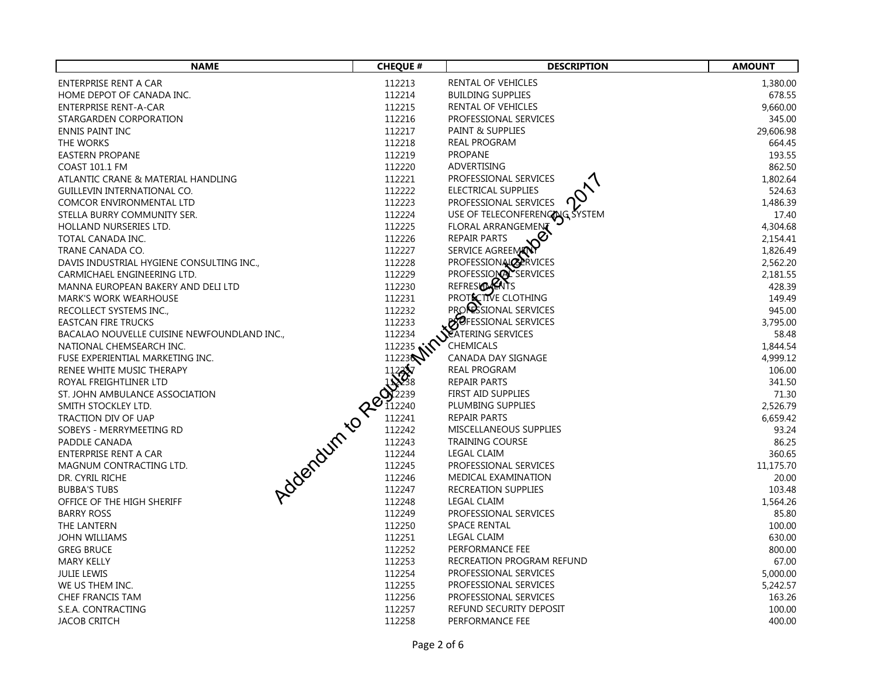| <b>NAME</b>                                                             | <b>CHEQUE #</b> | <b>DESCRIPTION</b>                                         | <b>AMOUNT</b>     |
|-------------------------------------------------------------------------|-----------------|------------------------------------------------------------|-------------------|
| ENTERPRISE RENT A CAR                                                   | 112213          | RENTAL OF VEHICLES                                         | 1,380.00          |
| HOME DEPOT OF CANADA INC.                                               | 112214          | <b>BUILDING SUPPLIES</b>                                   | 678.55            |
| <b>ENTERPRISE RENT-A-CAR</b>                                            | 112215          | RENTAL OF VEHICLES                                         | 9,660.00          |
| STARGARDEN CORPORATION                                                  | 112216          | PROFESSIONAL SERVICES                                      | 345.00            |
| <b>ENNIS PAINT INC</b>                                                  | 112217          | PAINT & SUPPLIES                                           | 29,606.98         |
| THE WORKS                                                               | 112218          | REAL PROGRAM                                               | 664.45            |
| <b>EASTERN PROPANE</b>                                                  | 112219          | <b>PROPANE</b>                                             | 193.55            |
| <b>COAST 101.1 FM</b>                                                   | 112220          | ADVERTISING                                                | 862.50            |
| ATLANTIC CRANE & MATERIAL HANDLING                                      | 112221          | PROFESSIONAL SERVICES                                      | 1,802.64          |
| GUILLEVIN INTERNATIONAL CO.                                             | 112222          | ELECTRICAL SUPPLIES                                        | 524.63            |
| COMCOR ENVIRONMENTAL LTD                                                | 112223          | PROFESSIONAL SERVICES                                      | 1,486.39          |
| STELLA BURRY COMMUNITY SER.                                             | 112224          | USE OF TELECONFERENCE SYSTEM                               | 17.40             |
| HOLLAND NURSERIES LTD.                                                  | 112225          | <b>FLORAL ARRANGEMENT</b>                                  | 4,304.68          |
| TOTAL CANADA INC.                                                       | 112226          | <b>REPAIR PARTS</b>                                        | 2,154.41          |
| TRANE CANADA CO.                                                        | 112227          | SERVICE AGREEMANT                                          | 1,826.49          |
| DAVIS INDUSTRIAL HYGIENE CONSULTING INC.,                               | 112228          | PROFESSIONALCERVICES                                       | 2,562.20          |
| CARMICHAEL ENGINEERING LTD.                                             | 112229          | PROFESSIONAL SERVICES                                      | 2,181.55          |
| MANNA EUROPEAN BAKERY AND DELI LTD                                      | 112230          | REFRESIDERITS                                              | 428.39            |
| <b>MARK'S WORK WEARHOUSE</b>                                            | 112231          | PROTECTIVE CLOTHING                                        | 149.49            |
| RECOLLECT SYSTEMS INC.,                                                 | 112232          | <b>PROPSSIONAL SERVICES</b><br><b>BOFESSIONAL SERVICES</b> | 945.00            |
| <b>EASTCAN FIRE TRUCKS</b>                                              | 112233          |                                                            | 3,795.00          |
| BACALAO NOUVELLE CUISINE NEWFOUNDLAND INC.,<br>NATIONAL CHEMSEARCH INC. | 112234          | SEATERING SERVICES<br>CHEMICALS                            | 58.48<br>1,844.54 |
| FUSE EXPERIENTIAL MARKETING INC.<br>8000                                | 112238 MM       | CANADA DAY SIGNAGE                                         | 4,999.12          |
| RENEE WHITE MUSIC THERAPY                                               |                 | <b>REAL PROGRAM</b>                                        | 106.00            |
| ROYAL FREIGHTLINER LTD                                                  |                 | <b>REPAIR PARTS</b>                                        | 341.50            |
| ST. JOHN AMBULANCE ASSOCIATION                                          |                 | FIRST AID SUPPLIES                                         | 71.30             |
| SMITH STOCKLEY LTD.                                                     |                 | PLUMBING SUPPLIES                                          | 2,526.79          |
| TRACTION DIV OF UAP                                                     |                 | <b>REPAIR PARTS</b>                                        | 6,659.42          |
| SOBEYS - MERRYMEETING RD                                                |                 | MISCELLANEOUS SUPPLIES                                     | 93.24             |
| PADDLE CANADA                                                           |                 | <b>TRAINING COURSE</b>                                     | 86.25             |
| ENTERPRISE RENT A CAR                                                   |                 | <b>LEGAL CLAIM</b>                                         | 360.65            |
| MAGNUM CONTRACTING LTD.                                                 |                 | PROFESSIONAL SERVICES                                      | 11,175.70         |
| DR. CYRIL RICHE                                                         |                 | MEDICAL EXAMINATION                                        | 20.00             |
| <b>BUBBA'S TUBS</b>                                                     |                 | <b>RECREATION SUPPLIES</b>                                 | 103.48            |
| OFFICE OF THE HIGH SHERIFF                                              |                 | <b>LEGAL CLAIM</b>                                         | 1,564.26          |
| <b>BARRY ROSS</b>                                                       | 112249          | PROFESSIONAL SERVICES                                      | 85.80             |
| THE LANTERN                                                             | 112250          | <b>SPACE RENTAL</b>                                        | 100.00            |
| <b>JOHN WILLIAMS</b>                                                    | 112251          | <b>LEGAL CLAIM</b>                                         | 630.00            |
| <b>GREG BRUCE</b>                                                       | 112252          | PERFORMANCE FEE                                            | 800.00            |
| <b>MARY KELLY</b>                                                       | 112253          | RECREATION PROGRAM REFUND                                  | 67.00             |
| <b>JULIE LEWIS</b>                                                      | 112254          | PROFESSIONAL SERVICES                                      | 5,000.00          |
| WE US THEM INC.                                                         | 112255          | PROFESSIONAL SERVICES                                      | 5,242.57          |
| <b>CHEF FRANCIS TAM</b>                                                 | 112256          | PROFESSIONAL SERVICES                                      | 163.26            |
| S.E.A. CONTRACTING                                                      | 112257          | REFUND SECURITY DEPOSIT                                    | 100.00            |
| <b>JACOB CRITCH</b>                                                     | 112258          | PERFORMANCE FEE                                            | 400.00            |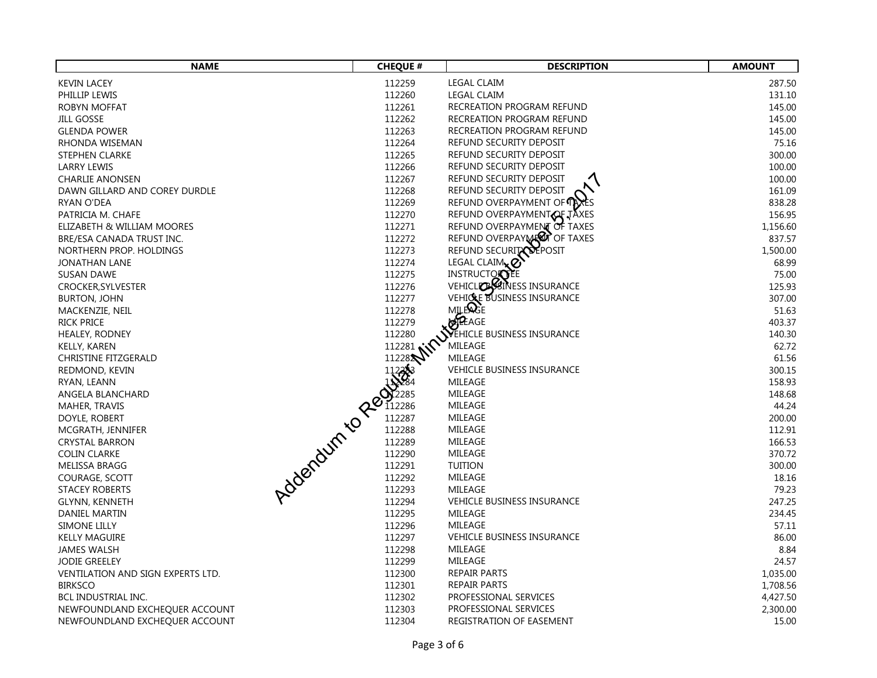| <b>NAME</b>                           | <b>CHEQUE #</b> | <b>DESCRIPTION</b>                    | <b>AMOUNT</b> |
|---------------------------------------|-----------------|---------------------------------------|---------------|
| <b>KEVIN LACEY</b>                    | 112259          | <b>LEGAL CLAIM</b>                    | 287.50        |
| PHILLIP LEWIS                         | 112260          | <b>LEGAL CLAIM</b>                    | 131.10        |
| ROBYN MOFFAT                          | 112261          | RECREATION PROGRAM REFUND             | 145.00        |
| <b>JILL GOSSE</b>                     | 112262          | RECREATION PROGRAM REFUND             | 145.00        |
| <b>GLENDA POWER</b>                   | 112263          | RECREATION PROGRAM REFUND             | 145.00        |
| RHONDA WISEMAN                        | 112264          | REFUND SECURITY DEPOSIT               | 75.16         |
| <b>STEPHEN CLARKE</b>                 | 112265          | REFUND SECURITY DEPOSIT               | 300.00        |
| LARRY LEWIS                           | 112266          | REFUND SECURITY DEPOSIT               | 100.00        |
| <b>CHARLIE ANONSEN</b>                | 112267          | REFUND SECURITY DEPOSIT               | 100.00        |
| DAWN GILLARD AND COREY DURDLE         | 112268          | REFUND SECURITY DEPOSIT               | 161.09        |
| <b>RYAN O'DEA</b>                     | 112269          | REFUND OVERPAYMENT OF TAXES           | 838.28        |
| PATRICIA M. CHAFE                     | 112270          | REFUND OVERPAYMENT OF J               | 156.95        |
| ELIZABETH & WILLIAM MOORES            | 112271          | REFUND OVERPAYMENT OF TAXES           | 1,156.60      |
| BRE/ESA CANADA TRUST INC.             | 112272          | REFUND OVERPAY MEDIT OF TAXES         | 837.57        |
| NORTHERN PROP. HOLDINGS               | 112273          | REFUND SECURITY DEPOSIT               | 1,500.00      |
| JONATHAN LANE                         | 112274          | LEGAL CLAIM <sub>x</sub> <sup>O</sup> | 68.99         |
| <b>SUSAN DAWE</b>                     | 112275          | <b>INSTRUCTORTEE</b>                  | 75.00         |
| CROCKER, SYLVESTER                    | 112276          | VEHICLICHSINESS INSURANCE             | 125.93        |
| <b>BURTON, JOHN</b>                   | 112277          | VEHICLE BUSINESS INSURANCE            | 307.00        |
| MACKENZIE, NEIL                       | 112278          | <b>MILERGE</b>                        | 51.63         |
| <b>RICK PRICE</b>                     | 112279          | <b>BEAGE</b>                          | 403.37        |
| HEALEY, RODNEY                        | 112280          | SVEHICLE BUSINESS INSURANCE           | 140.30        |
| KELLY, KAREN                          | -- 281 MM       | MILEAGE                               | 62.72         |
| <b>CHRISTINE FITZGERALD</b><br>112282 |                 | MILEAGE                               | 61.56         |
| REDMOND, KEVIN                        |                 | <b>VEHICLE BUSINESS INSURANCE</b>     | 300.15        |
| RYAN, LEANN                           |                 | MILEAGE                               | 158.93        |
| ANGELA BLANCHARD                      |                 | MILEAGE                               | 148.68        |
| MAHER, TRAVIS                         |                 | MILEAGE                               | 44.24         |
| DOYLE, ROBERT                         |                 | MILEAGE                               | 200.00        |
| MCGRATH, JENNIFER                     |                 | MILEAGE                               | 112.91        |
| <b>CRYSTAL BARRON</b>                 |                 | MILEAGE                               | 166.53        |
| <b>COLIN CLARKE</b>                   |                 | MILEAGE                               | 370.72        |
| MELISSA BRAGG                         |                 | <b>TUITION</b>                        | 300.00        |
| COURAGE, SCOTT                        |                 | MILEAGE                               | 18.16         |
| <b>STACEY ROBERTS</b>                 |                 | MILEAGE                               | 79.23         |
| GLYNN, KENNETH                        |                 | <b>VEHICLE BUSINESS INSURANCE</b>     | 247.25        |
| DANIEL MARTIN                         | 112295          | MILEAGE                               | 234.45        |
| SIMONE LILLY                          | 112296          | MILEAGE                               | 57.11         |
| <b>KELLY MAGUIRE</b>                  | 112297          | <b>VEHICLE BUSINESS INSURANCE</b>     | 86.00         |
| <b>JAMES WALSH</b>                    | 112298          | MILEAGE                               | 8.84          |
| JODIE GREELEY                         | 112299          | MILEAGE                               | 24.57         |
| VENTILATION AND SIGN EXPERTS LTD.     | 112300          | <b>REPAIR PARTS</b>                   | 1,035.00      |
| <b>BIRKSCO</b>                        | 112301          | <b>REPAIR PARTS</b>                   | 1,708.56      |
| BCL INDUSTRIAL INC.                   | 112302          | PROFESSIONAL SERVICES                 | 4,427.50      |
| NEWFOUNDLAND EXCHEQUER ACCOUNT        | 112303          | PROFESSIONAL SERVICES                 | 2,300.00      |
| NEWFOUNDLAND EXCHEQUER ACCOUNT        | 112304          | REGISTRATION OF EASEMENT              | 15.00         |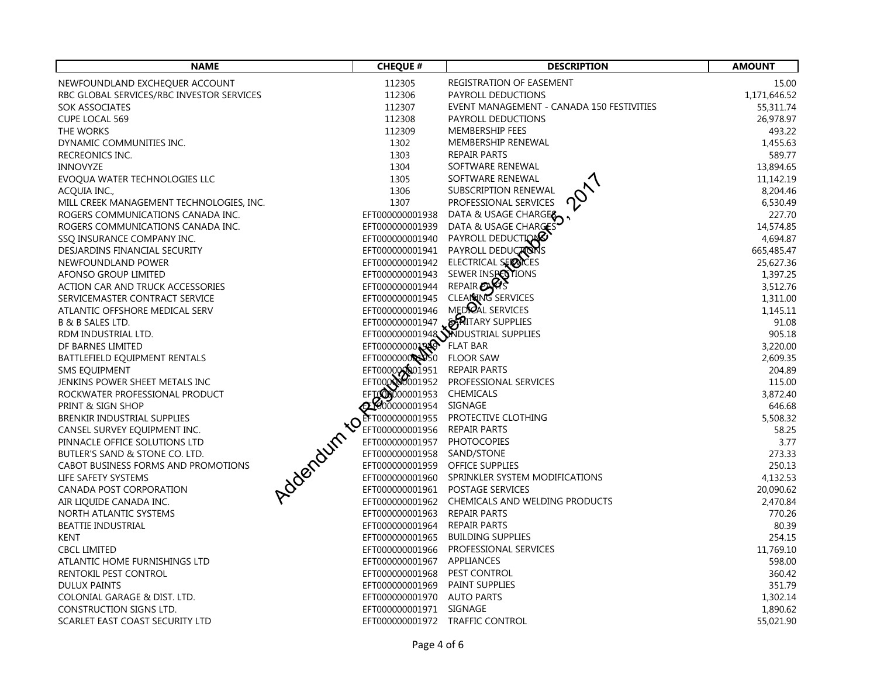| <b>NAME</b>                                        | <b>CHEQUE #</b>                 | <b>DESCRIPTION</b>                              | <b>AMOUNT</b>        |
|----------------------------------------------------|---------------------------------|-------------------------------------------------|----------------------|
| NEWFOUNDLAND EXCHEQUER ACCOUNT                     | 112305                          | REGISTRATION OF EASEMENT                        | 15.00                |
| RBC GLOBAL SERVICES/RBC INVESTOR SERVICES          | 112306                          | PAYROLL DEDUCTIONS                              | 1,171,646.52         |
| <b>SOK ASSOCIATES</b>                              | 112307                          | EVENT MANAGEMENT - CANADA 150 FESTIVITIES       | 55,311.74            |
| <b>CUPE LOCAL 569</b>                              | 112308                          | PAYROLL DEDUCTIONS                              | 26,978.97            |
| THE WORKS                                          | 112309                          | MEMBERSHIP FEES                                 | 493.22               |
| DYNAMIC COMMUNITIES INC.                           | 1302                            | MEMBERSHIP RENEWAL                              | 1,455.63             |
| RECREONICS INC.                                    | 1303                            | <b>REPAIR PARTS</b>                             | 589.77               |
| <b>INNOVYZE</b>                                    | 1304                            | SOFTWARE RENEWAL                                | 13,894.65            |
| EVOQUA WATER TECHNOLOGIES LLC                      | 1305                            | SOFTWARE RENEWAL                                | 11,142.19            |
| ACQUIA INC.,                                       | 1306                            | SUBSCRIPTION RENEWAL                            | 8,204.46             |
| MILL CREEK MANAGEMENT TECHNOLOGIES, INC.           | 1307                            | PROFESSIONAL SERVICES                           | 6,530.49             |
| ROGERS COMMUNICATIONS CANADA INC.                  | EFT000000001938                 | DATA & USAGE CHARGER                            | 227.70               |
| ROGERS COMMUNICATIONS CANADA INC.                  | EFT000000001939                 | DATA & USAGE CHARGES                            | 14,574.85            |
| SSQ INSURANCE COMPANY INC.                         | EFT000000001940                 | PAYROLL DEDUCTION                               | 4,694.87             |
| DESJARDINS FINANCIAL SECURITY                      | EFT000000001941                 | PAYROLL DEDUCTONS                               | 665,485.47           |
| NEWFOUNDLAND POWER                                 | EFT000000001942                 | ELECTRICAL SERVICES                             | 25,627.36            |
| AFONSO GROUP LIMITED                               | EFT000000001943                 | SEWER INSPECTIONS                               | 1,397.25             |
| ACTION CAR AND TRUCK ACCESSORIES                   | EFT000000001944                 | REPAIR CARS                                     | 3,512.76             |
| SERVICEMASTER CONTRACT SERVICE                     | EFT000000001945                 | CLEAN ING SERVICES<br>MEDRAL SERVICES           | 1,311.00             |
| ATLANTIC OFFSHORE MEDICAL SERV                     | EFT000000001946                 |                                                 | 1,145.11             |
| <b>B &amp; B SALES LTD.</b>                        |                                 | EFT000000001947 WAITARY SUPPLIES                | 91.08                |
| RDM INDUSTRIAL LTD.                                | EFT000000001940                 | EFT0000000001948 MDUSTRIAL SUPPLIES<br>FLAT BAR | 905.18               |
| DF BARNES LIMITED<br>BATTLEFIELD EQUIPMENT RENTALS | EFT000000000000                 | <b>FLOOR SAW</b>                                | 3,220.00<br>2,609.35 |
| SMS EQUIPMENT                                      |                                 | <b>REPAIR PARTS</b>                             | 204.89               |
| JENKINS POWER SHEET METALS INC                     | EFT000000001951                 | PROFESSIONAL SERVICES                           | 115.00               |
| ROCKWATER PROFESSIONAL PRODUCT                     | EFTOOD000001953                 | CHEMICALS                                       | 3,872.40             |
| PRINT & SIGN SHOP                                  | @100000001954                   | SIGNAGE                                         | 646.68               |
| <b>BRENKIR INDUSTRIAL SUPPLIES</b>                 | EFT000000001955                 | PROTECTIVE CLOTHING                             | 5,508.32             |
| Addendum tor<br>CANSEL SURVEY EQUIPMENT INC.       | EFT000000001956                 | <b>REPAIR PARTS</b>                             | 58.25                |
| PINNACLE OFFICE SOLUTIONS LTD                      | EFT000000001957                 | <b>PHOTOCOPIES</b>                              | 3.77                 |
| BUTLER'S SAND & STONE CO. LTD.                     | EFT000000001958 SAND/STONE      |                                                 | 273.33               |
| CABOT BUSINESS FORMS AND PROMOTIONS                | EFT000000001959 OFFICE SUPPLIES |                                                 | 250.13               |
| LIFE SAFETY SYSTEMS                                |                                 | EFT000000001960 SPRINKLER SYSTEM MODIFICATIONS  | 4,132.53             |
| CANADA POST CORPORATION                            |                                 | EFT000000001961 POSTAGE SERVICES                | 20,090.62            |
| AIR LIQUIDE CANADA INC.                            |                                 | EFT000000001962 CHEMICALS AND WELDING PRODUCTS  | 2,470.84             |
| NORTH ATLANTIC SYSTEMS                             | EFT000000001963 REPAIR PARTS    |                                                 | 770.26               |
| <b>BEATTIE INDUSTRIAL</b>                          | EFT000000001964 REPAIR PARTS    |                                                 | 80.39                |
| <b>KENT</b>                                        | EFT000000001965                 | <b>BUILDING SUPPLIES</b>                        | 254.15               |
| <b>CBCL LIMITED</b>                                |                                 | EFT000000001966 PROFESSIONAL SERVICES           | 11,769.10            |
| ATLANTIC HOME FURNISHINGS LTD                      | EFT000000001967 APPLIANCES      |                                                 | 598.00               |
| RENTOKIL PEST CONTROL                              | EFT000000001968 PEST CONTROL    |                                                 | 360.42               |
| <b>DULUX PAINTS</b>                                | EFT000000001969 PAINT SUPPLIES  |                                                 | 351.79               |
| COLONIAL GARAGE & DIST. LTD.                       | EFT000000001970 AUTO PARTS      |                                                 | 1,302.14             |
| CONSTRUCTION SIGNS LTD.                            | EFT000000001971 SIGNAGE         |                                                 | 1,890.62             |
| SCARLET EAST COAST SECURITY LTD                    |                                 | EFT000000001972 TRAFFIC CONTROL                 | 55,021.90            |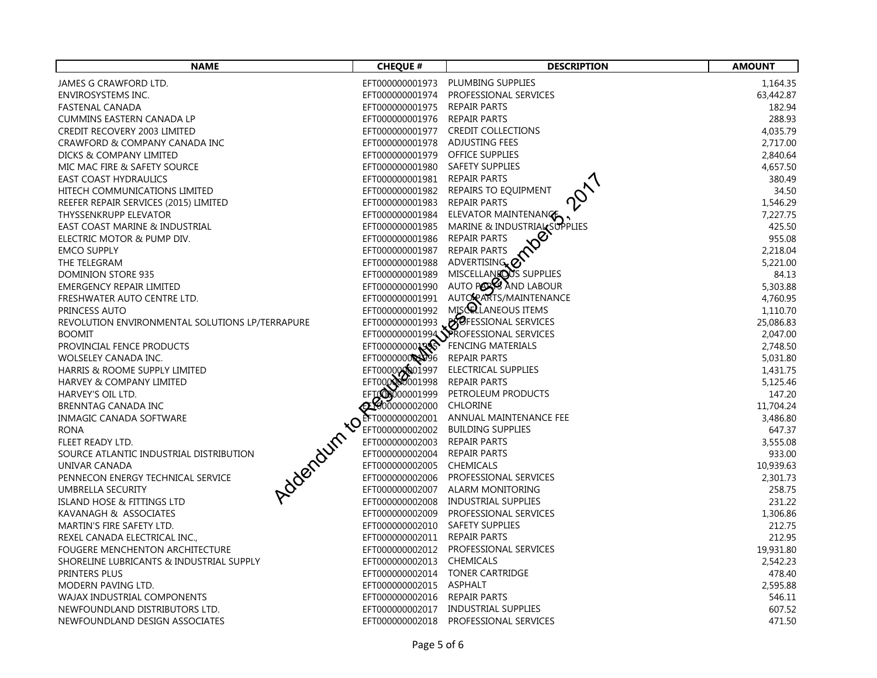| <b>NAME</b>                                                  | <b>CHEQUE #</b>                    | <b>DESCRIPTION</b>                                       | <b>AMOUNT</b>       |
|--------------------------------------------------------------|------------------------------------|----------------------------------------------------------|---------------------|
| JAMES G CRAWFORD LTD.                                        | EFT000000001973                    | PLUMBING SUPPLIES                                        | 1,164.35            |
| ENVIROSYSTEMS INC.                                           | EFT000000001974                    | PROFESSIONAL SERVICES                                    | 63,442.87           |
| FASTENAL CANADA                                              | EFT000000001975                    | <b>REPAIR PARTS</b>                                      | 182.94              |
| CUMMINS EASTERN CANADA LP                                    | EFT000000001976                    | <b>REPAIR PARTS</b>                                      | 288.93              |
| CREDIT RECOVERY 2003 LIMITED                                 |                                    | EFT000000001977 CREDIT COLLECTIONS                       | 4,035.79            |
| CRAWFORD & COMPANY CANADA INC                                | EFT000000001978 ADJUSTING FEES     |                                                          | 2,717.00            |
| DICKS & COMPANY LIMITED                                      | EFT000000001979 OFFICE SUPPLIES    |                                                          | 2,840.64            |
| MIC MAC FIRE & SAFETY SOURCE                                 | EFT000000001980                    | <b>SAFETY SUPPLIES</b>                                   | 4,657.50            |
| <b>EAST COAST HYDRAULICS</b>                                 | EFT000000001981 REPAIR PARTS       |                                                          | 380.49              |
| HITECH COMMUNICATIONS LIMITED                                | EFT000000001982                    | REPAIRS TO EQUIPMENT                                     | 34.50               |
| REEFER REPAIR SERVICES (2015) LIMITED                        | EFT000000001983                    | <b>REPAIR PARTS</b>                                      | 1,546.29            |
| THYSSENKRUPP ELEVATOR                                        | EFT000000001984                    | ELEVATOR MAINTENANGE                                     | 7,227.75            |
| EAST COAST MARINE & INDUSTRIAL<br>ELECTRIC MOTOR & PUMP DIV. | EFT000000001985<br>EFT000000001986 | MARINE & INDUSTRIAL SUPPLIES<br>Ø<br><b>REPAIR PARTS</b> | 425.50<br>955.08    |
| <b>EMCO SUPPLY</b>                                           | EFT000000001987                    | <b>REPAIR PARTS</b>                                      | 2,218.04            |
| THE TELEGRAM                                                 | EFT000000001988                    | ADVERTISING <sub>x</sub> <sup>2</sup>                    | 5,221.00            |
| DOMINION STORE 935                                           | EFT000000001989                    | MISCELLANEOUS SUPPLIES                                   | 84.13               |
| <b>EMERGENCY REPAIR LIMITED</b>                              | EFT000000001990                    | AUTO PORS AND LABOUR                                     | 5,303.88            |
| FRESHWATER AUTO CENTRE LTD.                                  | EFT000000001991                    | AUTOPARTS/MAINTENANCE                                    | 4,760.95            |
| PRINCESS AUTO                                                | EFT000000001992                    | MISCRLANEOUS ITEMS                                       | 1,110.70            |
| REVOLUTION ENVIRONMENTAL SOLUTIONS LP/TERRAPURE              |                                    | EFT000000001993 BOFESSIONAL SERVICES                     | 25,086.83           |
| <b>BOOMIT</b>                                                |                                    | EFT0000000001994 PROFESSIONAL SERVICES                   | 2,047.00            |
| PROVINCIAL FENCE PRODUCTS                                    | EFT00000000199                     | FENCING MATERIALS                                        | 2,748.50            |
| WOLSELEY CANADA INC.                                         | EFT000000000009996                 | <b>REPAIR PARTS</b>                                      | 5,031.80            |
| HARRIS & ROOME SUPPLY LIMITED                                | EFT0000000001997                   | ELECTRICAL SUPPLIES                                      | 1,431.75            |
| HARVEY & COMPANY LIMITED                                     | EFT000000001998                    | <b>REPAIR PARTS</b>                                      | 5,125.46            |
| HARVEY'S OIL LTD.                                            |                                    | PETROLEUM PRODUCTS                                       | 147.20              |
| BRENNTAG CANADA INC                                          |                                    | <b>CHLORINE</b>                                          | 11,704.24           |
| INMAGIC CANADA SOFTWARE                                      |                                    | ANNUAL MAINTENANCE FEE                                   | 3,486.80            |
| ROCK CONTROLLER PROCESSION<br><b>RONA</b>                    |                                    | <b>BUILDING SUPPLIES</b>                                 | 647.37              |
| FLEET READY LTD.                                             |                                    | <b>REPAIR PARTS</b>                                      | 3,555.08            |
| SOURCE ATLANTIC INDUSTRIAL DISTRIBUTION                      | EFT000000002005 CHEMICALS          | <b>REPAIR PARTS</b>                                      | 933.00<br>10,939.63 |
| UNIVAR CANADA<br>PENNECON ENERGY TECHNICAL SERVICE           |                                    | EFT000000002006 PROFESSIONAL SERVICES                    | 2,301.73            |
| UMBRELLA SECURITY                                            |                                    | EFT000000002007 ALARM MONITORING                         | 258.75              |
| ISLAND HOSE & FITTINGS LTD                                   |                                    | EFT000000002008 INDUSTRIAL SUPPLIES                      | 231.22              |
| KAVANAGH & ASSOCIATES                                        | EFT000000002009                    | PROFESSIONAL SERVICES                                    | 1,306.86            |
| MARTIN'S FIRE SAFETY LTD.                                    | EFT000000002010 SAFETY SUPPLIES    |                                                          | 212.75              |
| REXEL CANADA ELECTRICAL INC.,                                | EFT000000002011 REPAIR PARTS       |                                                          | 212.95              |
| FOUGERE MENCHENTON ARCHITECTURE                              | EFT000000002012                    | PROFESSIONAL SERVICES                                    | 19,931.80           |
| SHORELINE LUBRICANTS & INDUSTRIAL SUPPLY                     | EFT000000002013 CHEMICALS          |                                                          | 2,542.23            |
| PRINTERS PLUS                                                |                                    | EFT000000002014 TONER CARTRIDGE                          | 478.40              |
| MODERN PAVING LTD.                                           | EFT000000002015 ASPHALT            |                                                          | 2,595.88            |
| WAJAX INDUSTRIAL COMPONENTS                                  | EFT000000002016                    | REPAIR PARTS                                             | 546.11              |
| NEWFOUNDLAND DISTRIBUTORS LTD.                               |                                    | EFT000000002017 INDUSTRIAL SUPPLIES                      | 607.52              |
| NEWFOUNDLAND DESIGN ASSOCIATES                               | EFT000000002018                    | PROFESSIONAL SERVICES                                    | 471.50              |